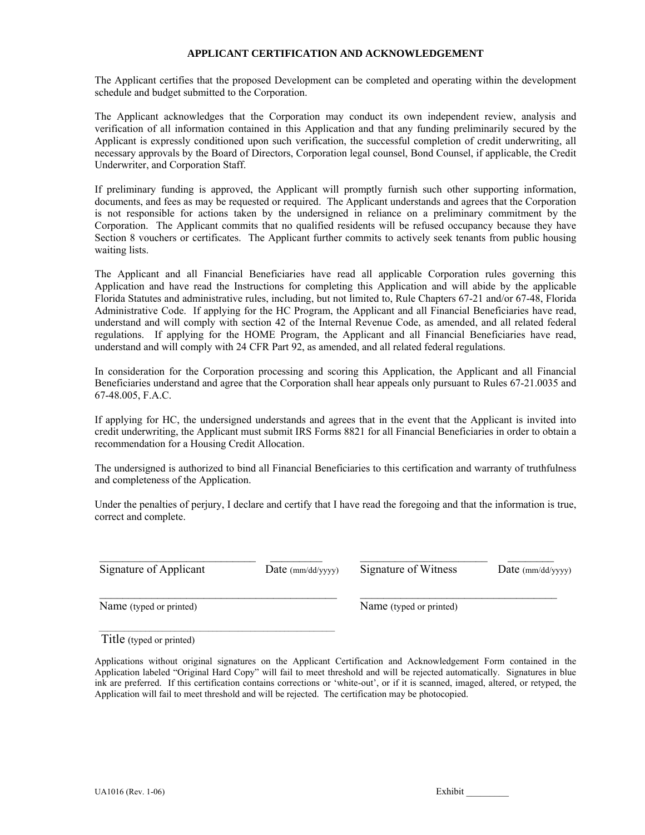#### **APPLICANT CERTIFICATION AND ACKNOWLEDGEMENT**

The Applicant certifies that the proposed Development can be completed and operating within the development schedule and budget submitted to the Corporation.

The Applicant acknowledges that the Corporation may conduct its own independent review, analysis and verification of all information contained in this Application and that any funding preliminarily secured by the Applicant is expressly conditioned upon such verification, the successful completion of credit underwriting, all necessary approvals by the Board of Directors, Corporation legal counsel, Bond Counsel, if applicable, the Credit Underwriter, and Corporation Staff.

If preliminary funding is approved, the Applicant will promptly furnish such other supporting information, documents, and fees as may be requested or required. The Applicant understands and agrees that the Corporation is not responsible for actions taken by the undersigned in reliance on a preliminary commitment by the Corporation. The Applicant commits that no qualified residents will be refused occupancy because they have Section 8 vouchers or certificates. The Applicant further commits to actively seek tenants from public housing waiting lists.

The Applicant and all Financial Beneficiaries have read all applicable Corporation rules governing this Application and have read the Instructions for completing this Application and will abide by the applicable Florida Statutes and administrative rules, including, but not limited to, Rule Chapters 67-21 and/or 67-48, Florida Administrative Code. If applying for the HC Program, the Applicant and all Financial Beneficiaries have read, understand and will comply with section 42 of the Internal Revenue Code, as amended, and all related federal regulations. If applying for the HOME Program, the Applicant and all Financial Beneficiaries have read, understand and will comply with 24 CFR Part 92, as amended, and all related federal regulations.

In consideration for the Corporation processing and scoring this Application, the Applicant and all Financial Beneficiaries understand and agree that the Corporation shall hear appeals only pursuant to Rules 67-21.0035 and 67-48.005, F.A.C.

If applying for HC, the undersigned understands and agrees that in the event that the Applicant is invited into credit underwriting, the Applicant must submit IRS Forms 8821 for all Financial Beneficiaries in order to obtain a recommendation for a Housing Credit Allocation.

The undersigned is authorized to bind all Financial Beneficiaries to this certification and warranty of truthfulness and completeness of the Application.

Under the penalties of perjury, I declare and certify that I have read the foregoing and that the information is true, correct and complete.

\_\_\_\_\_\_\_\_\_\_\_\_\_\_\_\_\_\_\_\_\_\_\_\_\_\_\_ \_\_\_\_\_\_\_\_\_ \_\_\_\_\_\_\_\_\_\_\_\_\_\_\_\_\_\_\_\_\_\_ \_\_\_\_\_\_\_\_

\_\_\_\_\_\_\_\_\_\_\_\_\_\_\_\_\_\_\_\_\_\_\_\_\_\_\_\_\_\_\_\_\_\_\_\_\_\_\_\_\_ \_\_\_\_\_\_\_\_\_\_\_\_\_\_\_\_\_\_\_\_\_\_\_\_\_\_\_\_\_\_\_\_\_\_

Signature of Applicant Date (mm/dd/yyyy) Signature of Witness Date (mm/dd/yyyy)

Name (typed or printed) Name (typed or printed)

Title (typed or printed)

 $\mathcal{L}_\text{max}$  and the contract of the contract of the contract of the contract of the contract of the contract of the contract of the contract of the contract of the contract of the contract of the contract of the contrac

Applications without original signatures on the Applicant Certification and Acknowledgement Form contained in the Application labeled "Original Hard Copy" will fail to meet threshold and will be rejected automatically. Signatures in blue ink are preferred. If this certification contains corrections or 'white-out', or if it is scanned, imaged, altered, or retyped, the Application will fail to meet threshold and will be rejected. The certification may be photocopied.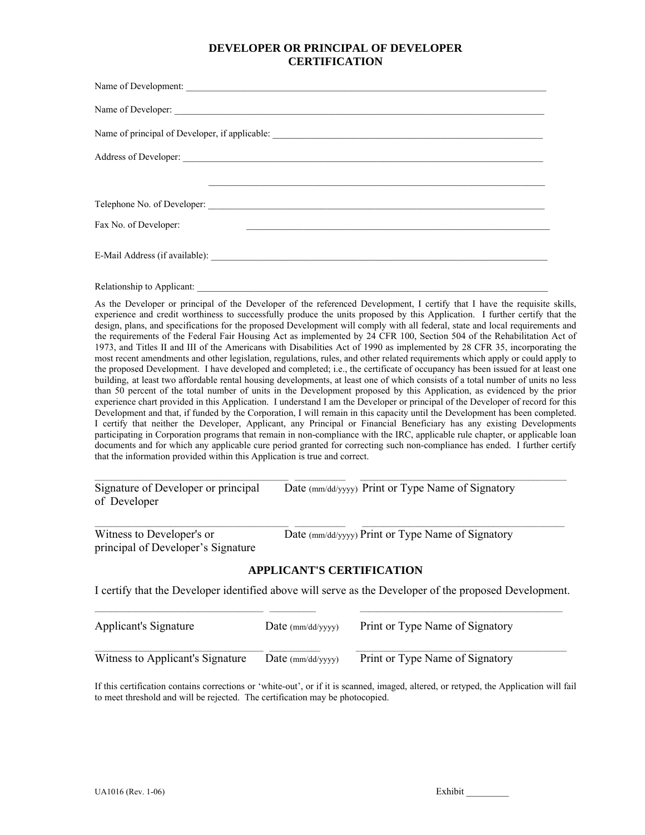## **DEVELOPER OR PRINCIPAL OF DEVELOPER CERTIFICATION**

| Name of Development:                                                                                                                          |
|-----------------------------------------------------------------------------------------------------------------------------------------------|
| Name of Developer:                                                                                                                            |
|                                                                                                                                               |
| Address of Developer: <u>contract the contract of the contract of the contract of the contract of the contract of</u>                         |
|                                                                                                                                               |
|                                                                                                                                               |
| Fax No. of Developer:<br><u> 1989 - Johann John Stone, mension berkenaar mengangkan pada tahun 1980 mengandakan berkenaar berkenaar dalam</u> |
|                                                                                                                                               |
| Relationship to Applicant:                                                                                                                    |

As the Developer or principal of the Developer of the referenced Development, I certify that I have the requisite skills, experience and credit worthiness to successfully produce the units proposed by this Application. I further certify that the design, plans, and specifications for the proposed Development will comply with all federal, state and local requirements and the requirements of the Federal Fair Housing Act as implemented by 24 CFR 100, Section 504 of the Rehabilitation Act of 1973, and Titles II and III of the Americans with Disabilities Act of 1990 as implemented by 28 CFR 35, incorporating the most recent amendments and other legislation, regulations, rules, and other related requirements which apply or could apply to the proposed Development. I have developed and completed; i.e., the certificate of occupancy has been issued for at least one building, at least two affordable rental housing developments, at least one of which consists of a total number of units no less than 50 percent of the total number of units in the Development proposed by this Application, as evidenced by the prior experience chart provided in this Application. I understand I am the Developer or principal of the Developer of record for this Development and that, if funded by the Corporation, I will remain in this capacity until the Development has been completed. I certify that neither the Developer, Applicant, any Principal or Financial Beneficiary has any existing Developments participating in Corporation programs that remain in non-compliance with the IRC, applicable rule chapter, or applicable loan documents and for which any applicable cure period granted for correcting such non-compliance has ended. I further certify that the information provided within this Application is true and correct.

| Signature of Developer or principal | Date (mm/dd/yyyy) Print or Type Name of Signatory |
|-------------------------------------|---------------------------------------------------|
| of Developer                        |                                                   |

| Witness to Developer's or          | Date (mm/dd/yyyy) Print or Type Name of Signatory |
|------------------------------------|---------------------------------------------------|
| principal of Developer's Signature |                                                   |

## **APPLICANT'S CERTIFICATION**

\_\_\_\_\_\_\_\_\_\_\_\_\_\_\_\_\_\_\_\_\_\_\_\_\_\_\_\_\_\_\_\_\_\_\_\_\_\_\_\_\_\_\_\_\_\_ \_\_\_\_\_\_\_\_\_\_\_\_ \_\_\_\_\_\_\_\_\_\_\_\_\_\_\_\_\_\_\_\_\_\_\_\_\_\_\_\_\_\_\_\_\_\_\_\_\_\_\_\_\_\_\_\_\_\_\_\_\_

I certify that the Developer identified above will serve as the Developer of the proposed Development.  $\_$  , and the state of the state of the state of the state of the state of the state of the state of the state of the state of the state of the state of the state of the state of the state of the state of the state of the

| Applicant's Signature            | Date $\text{(mm/dd/yyyy)}$ | Print or Type Name of Signatory |
|----------------------------------|----------------------------|---------------------------------|
| Witness to Applicant's Signature | Date $\text{(mm/dd/yyyy)}$ | Print or Type Name of Signatory |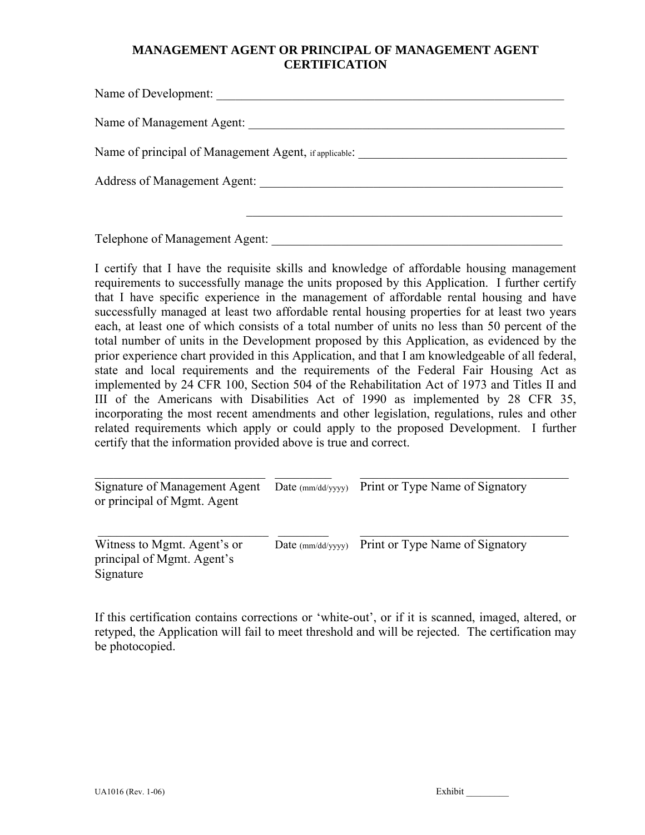# **MANAGEMENT AGENT OR PRINCIPAL OF MANAGEMENT AGENT CERTIFICATION**

| Name of Development:                                                        |
|-----------------------------------------------------------------------------|
| Name of Management Agent:                                                   |
| Name of principal of Management Agent, if applicable.                       |
| Address of Management Agent: 2008. And 2008. The State of Management Agent: |
|                                                                             |

Telephone of Management Agent:

I certify that I have the requisite skills and knowledge of affordable housing management requirements to successfully manage the units proposed by this Application. I further certify that I have specific experience in the management of affordable rental housing and have successfully managed at least two affordable rental housing properties for at least two years each, at least one of which consists of a total number of units no less than 50 percent of the total number of units in the Development proposed by this Application, as evidenced by the prior experience chart provided in this Application, and that I am knowledgeable of all federal, state and local requirements and the requirements of the Federal Fair Housing Act as implemented by 24 CFR 100, Section 504 of the Rehabilitation Act of 1973 and Titles II and III of the Americans with Disabilities Act of 1990 as implemented by 28 CFR 35, incorporating the most recent amendments and other legislation, regulations, rules and other related requirements which apply or could apply to the proposed Development. I further certify that the information provided above is true and correct.

Signature of Management Agent Date (mm/dd/yyyy) Print or Type Name of Signatory or principal of Mgmt. Agent

 $\_$  , and the state of the state of the state of the state of the state of the state of the state of the state of the state of the state of the state of the state of the state of the state of the state of the state of the

\_\_\_\_\_\_\_\_\_\_\_\_\_\_\_\_\_\_\_\_\_\_\_\_\_\_\_ \_\_\_\_\_\_\_\_ \_\_\_\_\_\_\_\_\_\_\_\_\_\_\_\_\_\_\_\_\_\_\_\_\_\_\_\_\_\_\_\_\_

Witness to Mgmt. Agent's or Date (mm/dd/yyyy) Print or Type Name of Signatory principal of Mgmt. Agent's Signature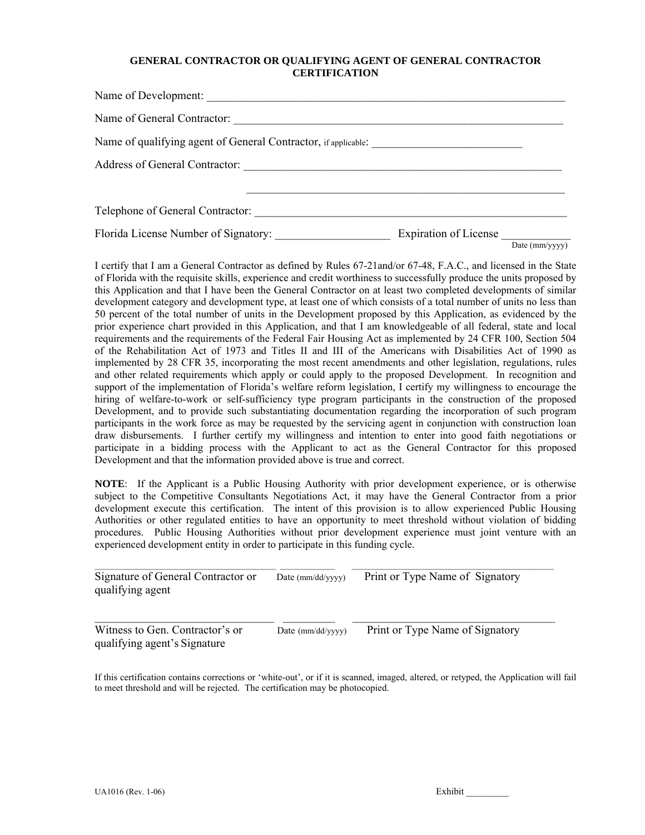#### **GENERAL CONTRACTOR OR QUALIFYING AGENT OF GENERAL CONTRACTOR CERTIFICATION**

| Name of General Contractor:                                    |                       |                |
|----------------------------------------------------------------|-----------------------|----------------|
| Name of qualifying agent of General Contractor, if applicable: |                       |                |
|                                                                |                       |                |
| Telephone of General Contractor:                               |                       |                |
|                                                                | Expiration of License | Date (mm/yyyy) |

I certify that I am a General Contractor as defined by Rules 67-21and/or 67-48, F.A.C., and licensed in the State of Florida with the requisite skills, experience and credit worthiness to successfully produce the units proposed by this Application and that I have been the General Contractor on at least two completed developments of similar development category and development type, at least one of which consists of a total number of units no less than 50 percent of the total number of units in the Development proposed by this Application, as evidenced by the prior experience chart provided in this Application, and that I am knowledgeable of all federal, state and local requirements and the requirements of the Federal Fair Housing Act as implemented by 24 CFR 100, Section 504 of the Rehabilitation Act of 1973 and Titles II and III of the Americans with Disabilities Act of 1990 as implemented by 28 CFR 35, incorporating the most recent amendments and other legislation, regulations, rules and other related requirements which apply or could apply to the proposed Development. In recognition and support of the implementation of Florida's welfare reform legislation, I certify my willingness to encourage the hiring of welfare-to-work or self-sufficiency type program participants in the construction of the proposed Development, and to provide such substantiating documentation regarding the incorporation of such program participants in the work force as may be requested by the servicing agent in conjunction with construction loan draw disbursements. I further certify my willingness and intention to enter into good faith negotiations or participate in a bidding process with the Applicant to act as the General Contractor for this proposed Development and that the information provided above is true and correct.

**NOTE**: If the Applicant is a Public Housing Authority with prior development experience, or is otherwise subject to the Competitive Consultants Negotiations Act, it may have the General Contractor from a prior development execute this certification. The intent of this provision is to allow experienced Public Housing Authorities or other regulated entities to have an opportunity to meet threshold without violation of bidding procedures. Public Housing Authorities without prior development experience must joint venture with an experienced development entity in order to participate in this funding cycle.

| Signature of General Contractor or<br>qualifying agent          | Date (mm/dd/yyyy)          | Print or Type Name of Signatory |
|-----------------------------------------------------------------|----------------------------|---------------------------------|
| Witness to Gen. Contractor's or<br>qualifying agent's Signature | Date $\text{(mm/dd/vvvv)}$ | Print or Type Name of Signatory |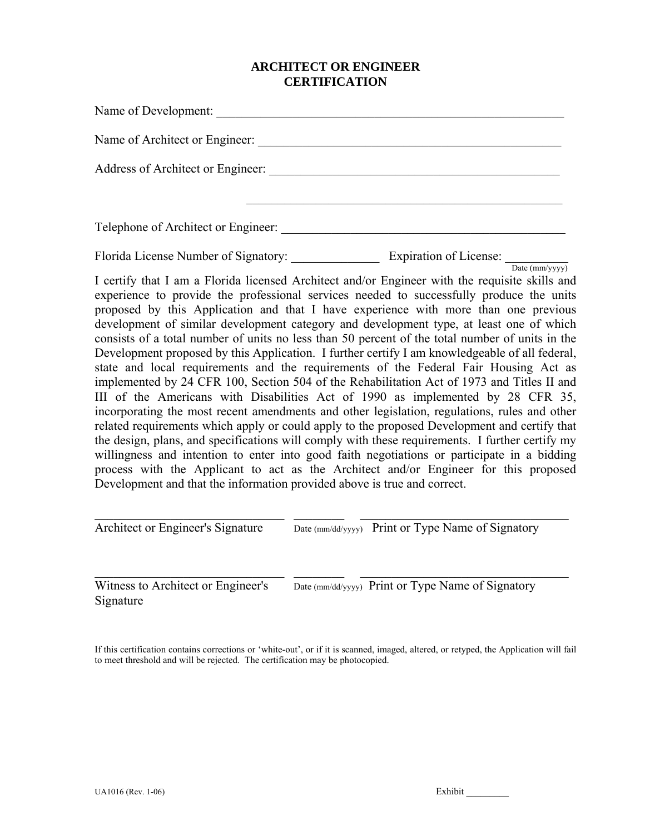# **ARCHITECT OR ENGINEER CERTIFICATION**

| Name of Development:                                                                                                                                                                                                                                                                                                                                                                                                                                                                                                                                                                                                                                                                                                                                                                                                                                                                                                                                                                                                                                                                                                                                                                                                                                                                                                                                                                                                             |
|----------------------------------------------------------------------------------------------------------------------------------------------------------------------------------------------------------------------------------------------------------------------------------------------------------------------------------------------------------------------------------------------------------------------------------------------------------------------------------------------------------------------------------------------------------------------------------------------------------------------------------------------------------------------------------------------------------------------------------------------------------------------------------------------------------------------------------------------------------------------------------------------------------------------------------------------------------------------------------------------------------------------------------------------------------------------------------------------------------------------------------------------------------------------------------------------------------------------------------------------------------------------------------------------------------------------------------------------------------------------------------------------------------------------------------|
|                                                                                                                                                                                                                                                                                                                                                                                                                                                                                                                                                                                                                                                                                                                                                                                                                                                                                                                                                                                                                                                                                                                                                                                                                                                                                                                                                                                                                                  |
|                                                                                                                                                                                                                                                                                                                                                                                                                                                                                                                                                                                                                                                                                                                                                                                                                                                                                                                                                                                                                                                                                                                                                                                                                                                                                                                                                                                                                                  |
|                                                                                                                                                                                                                                                                                                                                                                                                                                                                                                                                                                                                                                                                                                                                                                                                                                                                                                                                                                                                                                                                                                                                                                                                                                                                                                                                                                                                                                  |
|                                                                                                                                                                                                                                                                                                                                                                                                                                                                                                                                                                                                                                                                                                                                                                                                                                                                                                                                                                                                                                                                                                                                                                                                                                                                                                                                                                                                                                  |
| Florida License Number of Signatory: Expiration of License: $\frac{1}{\text{Date (mm/yyy)}}$                                                                                                                                                                                                                                                                                                                                                                                                                                                                                                                                                                                                                                                                                                                                                                                                                                                                                                                                                                                                                                                                                                                                                                                                                                                                                                                                     |
| I certify that I am a Florida licensed Architect and/or Engineer with the requisite skills and<br>experience to provide the professional services needed to successfully produce the units<br>proposed by this Application and that I have experience with more than one previous<br>development of similar development category and development type, at least one of which<br>consists of a total number of units no less than 50 percent of the total number of units in the<br>Development proposed by this Application. I further certify I am knowledgeable of all federal,<br>state and local requirements and the requirements of the Federal Fair Housing Act as<br>implemented by 24 CFR 100, Section 504 of the Rehabilitation Act of 1973 and Titles II and<br>III of the Americans with Disabilities Act of 1990 as implemented by 28 CFR 35,<br>incorporating the most recent amendments and other legislation, regulations, rules and other<br>related requirements which apply or could apply to the proposed Development and certify that<br>the design, plans, and specifications will comply with these requirements. I further certify my<br>willingness and intention to enter into good faith negotiations or participate in a bidding<br>process with the Applicant to act as the Architect and/or Engineer for this proposed<br>Development and that the information provided above is true and correct. |

Architect or Engineer's Signature Date (mm/dd/yyyy) Print or Type Name of Signatory

 $\_$  , and the contribution of the contribution of  $\overline{\mathcal{L}}$  , and  $\overline{\mathcal{L}}$  , and  $\overline{\mathcal{L}}$  , and  $\overline{\mathcal{L}}$ 

 $\mathcal{L}_\text{max} = \frac{1}{2} \sum_{i=1}^n \mathcal{L}_\text{max}(\mathbf{z}_i - \mathbf{z}_i)$ 

Witness to Architect or Engineer's Date (mm/dd/yyyy) Print or Type Name of Signatory Signature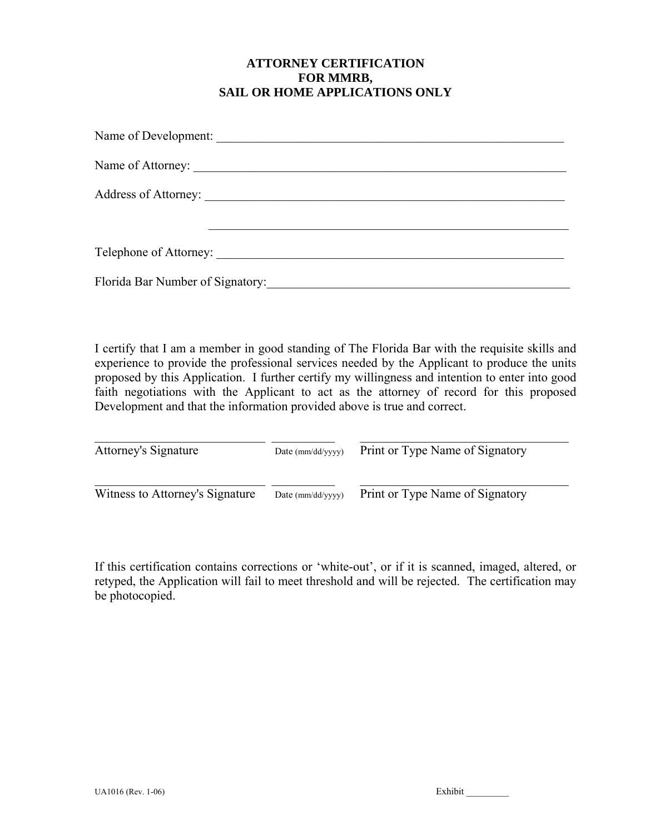# **ATTORNEY CERTIFICATION FOR MMRB, SAIL OR HOME APPLICATIONS ONLY**

| Florida Bar Number of Signatory: |
|----------------------------------|

I certify that I am a member in good standing of The Florida Bar with the requisite skills and experience to provide the professional services needed by the Applicant to produce the units proposed by this Application. I further certify my willingness and intention to enter into good faith negotiations with the Applicant to act as the attorney of record for this proposed Development and that the information provided above is true and correct.

| <b>Attorney's Signature</b>     | Date $\text{(mm/dd/yyyy)}$ | Print or Type Name of Signatory |
|---------------------------------|----------------------------|---------------------------------|
| Witness to Attorney's Signature | Date (mm/dd/yyyy)          | Print or Type Name of Signatory |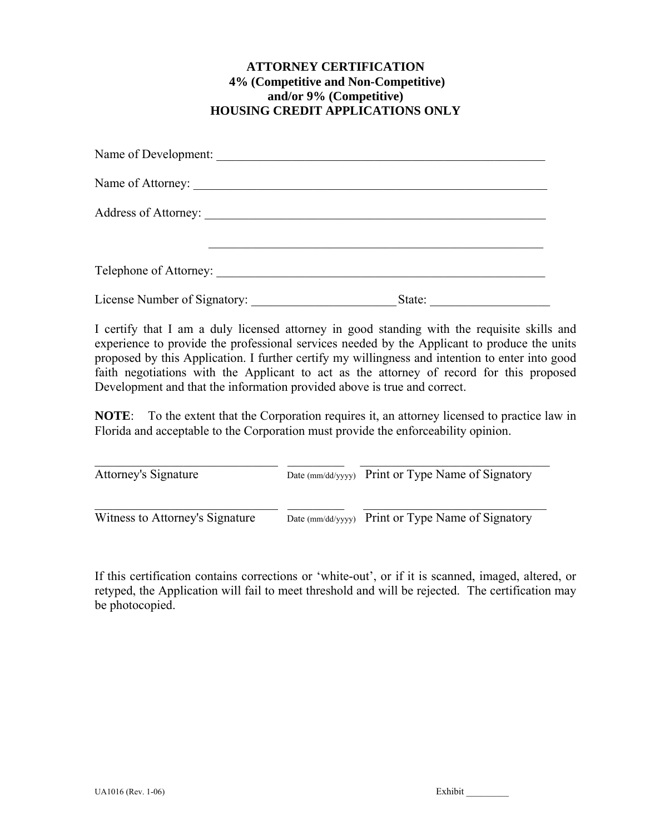# **ATTORNEY CERTIFICATION 4% (Competitive and Non-Competitive) and/or 9% (Competitive) HOUSING CREDIT APPLICATIONS ONLY**

| Telephone of Attorney:       |        |  |
|------------------------------|--------|--|
| License Number of Signatory: | State: |  |

I certify that I am a duly licensed attorney in good standing with the requisite skills and experience to provide the professional services needed by the Applicant to produce the units proposed by this Application. I further certify my willingness and intention to enter into good faith negotiations with the Applicant to act as the attorney of record for this proposed Development and that the information provided above is true and correct.

**NOTE**: To the extent that the Corporation requires it, an attorney licensed to practice law in Florida and acceptable to the Corporation must provide the enforceability opinion.

| <b>Attorney's Signature</b>     | Date (mm/dd/yyyy) Print or Type Name of Signatory |
|---------------------------------|---------------------------------------------------|
| Witness to Attorney's Signature | Date (mm/dd/yyyy) Print or Type Name of Signatory |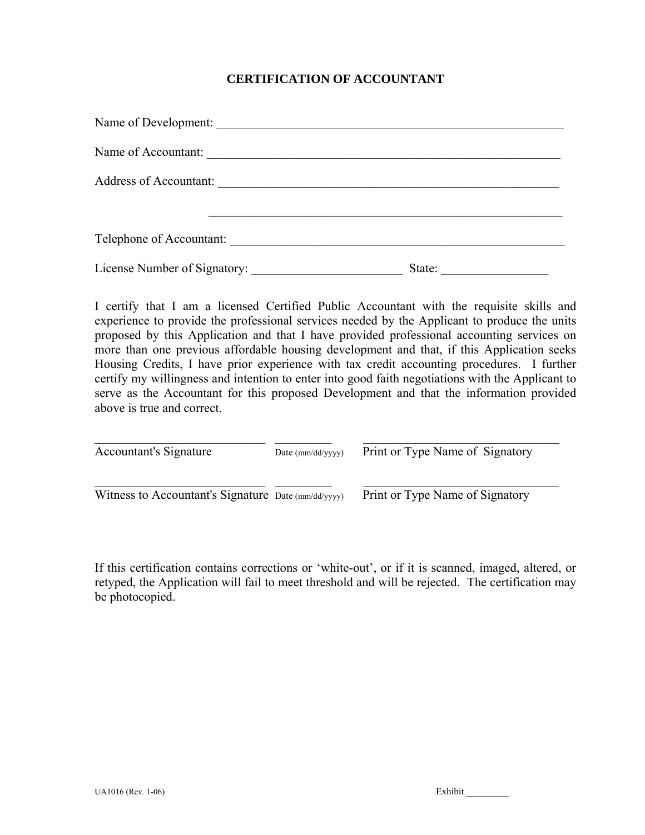# **CERTIFICATION OF ACCOUNTANT**

| Name of Development:          |        |  |
|-------------------------------|--------|--|
| Name of Accountant:           |        |  |
| <b>Address of Accountant:</b> |        |  |
|                               |        |  |
| Telephone of Accountant:      |        |  |
| License Number of Signatory:  | State: |  |

I certify that I am a licensed Certified Public Accountant with the requisite skills and experience to provide the professional services needed by the Applicant to produce the units proposed by this Application and that I have provided professional accounting services on more than one previous affordable housing development and that, if this Application seeks Housing Credits, I have prior experience with tax credit accounting procedures. I further certify my willingness and intention to enter into good faith negotiations with the Applicant to serve as the Accountant for this proposed Development and that the information provided above is true and correct.

| <b>Accountant's Signature</b>                       | Date $\text{(mm/dd/vvvv)}$ | Print or Type Name of Signatory |
|-----------------------------------------------------|----------------------------|---------------------------------|
| Witness to Accountant's Signature Date (mm/dd/yyyy) |                            | Print or Type Name of Signatory |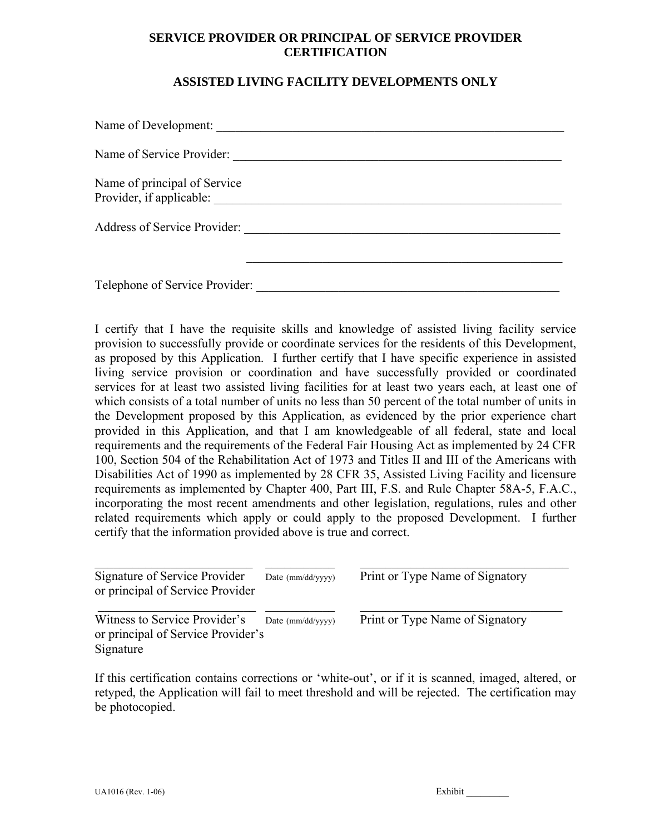# **SERVICE PROVIDER OR PRINCIPAL OF SERVICE PROVIDER CERTIFICATION**

# **ASSISTED LIVING FACILITY DEVELOPMENTS ONLY**

| Name of Development:                                     |  |
|----------------------------------------------------------|--|
| Name of Service Provider:                                |  |
| Name of principal of Service<br>Provider, if applicable: |  |
| <b>Address of Service Provider:</b>                      |  |
|                                                          |  |
| Telephone of Service Provider:                           |  |

I certify that I have the requisite skills and knowledge of assisted living facility service provision to successfully provide or coordinate services for the residents of this Development, as proposed by this Application. I further certify that I have specific experience in assisted living service provision or coordination and have successfully provided or coordinated services for at least two assisted living facilities for at least two years each, at least one of which consists of a total number of units no less than 50 percent of the total number of units in the Development proposed by this Application, as evidenced by the prior experience chart provided in this Application, and that I am knowledgeable of all federal, state and local requirements and the requirements of the Federal Fair Housing Act as implemented by 24 CFR 100, Section 504 of the Rehabilitation Act of 1973 and Titles II and III of the Americans with Disabilities Act of 1990 as implemented by 28 CFR 35, Assisted Living Facility and licensure requirements as implemented by Chapter 400, Part III, F.S. and Rule Chapter 58A-5, F.A.C., incorporating the most recent amendments and other legislation, regulations, rules and other related requirements which apply or could apply to the proposed Development. I further certify that the information provided above is true and correct.

| Signature of Service Provider<br>or principal of Service Provider                | Date (mm/dd/yyyy) | Print or Type Name of Signatory |  |
|----------------------------------------------------------------------------------|-------------------|---------------------------------|--|
| Witness to Service Provider's<br>or principal of Service Provider's<br>Signature | Date (mm/dd/yyyy) | Print or Type Name of Signatory |  |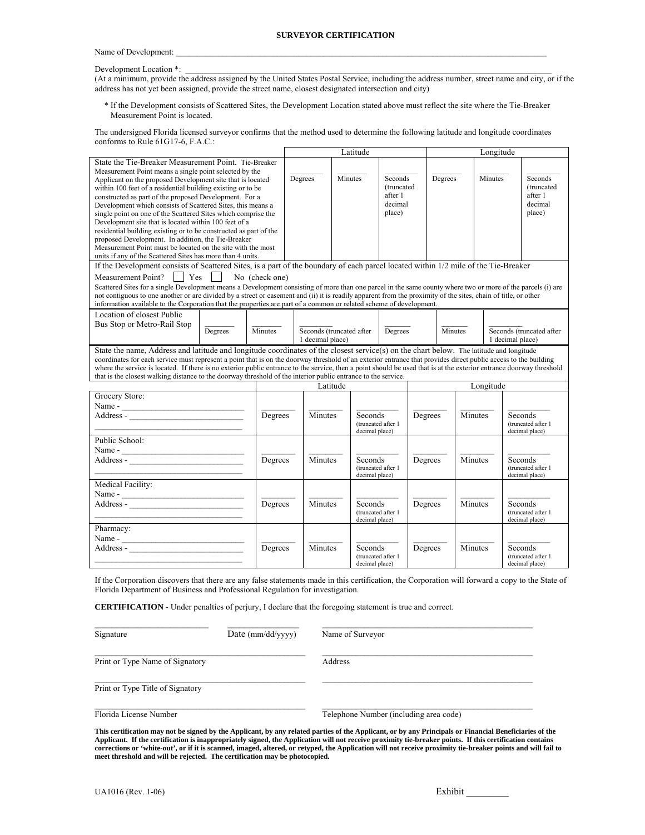#### **SURVEYOR CERTIFICATION**

Name of Development:

#### Development Location \*:

(At a minimum, provide the address assigned by the United States Postal Service, including the address number, street name and city, or if the address has not yet been assigned, provide the street name, closest designated intersection and city)

\* If the Development consists of Scattered Sites, the Development Location stated above must reflect the site where the Tie-Breaker Measurement Point is located.

The undersigned Florida licensed surveyor confirms that the method used to determine the following latitude and longitude coordinates conforms to Rule 61G17-6, F.A.C.:

|                                                                                                                                                                                                                                                                                                                                                                                                                                                                                                                                                                                                                                                                                                                                                                                                                                                                                                                            |                |                  | Latitude                  |                                                        |         |         | Longitude        |                                                        |
|----------------------------------------------------------------------------------------------------------------------------------------------------------------------------------------------------------------------------------------------------------------------------------------------------------------------------------------------------------------------------------------------------------------------------------------------------------------------------------------------------------------------------------------------------------------------------------------------------------------------------------------------------------------------------------------------------------------------------------------------------------------------------------------------------------------------------------------------------------------------------------------------------------------------------|----------------|------------------|---------------------------|--------------------------------------------------------|---------|---------|------------------|--------------------------------------------------------|
| State the Tie-Breaker Measurement Point. Tie-Breaker<br>Measurement Point means a single point selected by the<br>Applicant on the proposed Development site that is located<br>within 100 feet of a residential building existing or to be<br>constructed as part of the proposed Development. For a<br>Development which consists of Scattered Sites, this means a<br>single point on one of the Scattered Sites which comprise the<br>Development site that is located within 100 feet of a<br>residential building existing or to be constructed as part of the<br>proposed Development. In addition, the Tie-Breaker<br>Measurement Point must be located on the site with the most<br>units if any of the Scattered Sites has more than 4 units.<br>If the Development consists of Scattered Sites, is a part of the boundary of each parcel located within 1/2 mile of the Tie-Breaker<br>Measurement Point?<br>Yes | No (check one) | Degrees          | Minutes                   | Seconds<br>(truncated)<br>after 1<br>decimal<br>place) |         | Degrees | Minutes          | Seconds<br>(truncated<br>after 1<br>decimal<br>place)  |
| Scattered Sites for a single Development means a Development consisting of more than one parcel in the same county where two or more of the parcels (i) are<br>not contiguous to one another or are divided by a street or easement and (ii) it is readily apparent from the proximity of the sites, chain of title, or other<br>information available to the Corporation that the properties are part of a common or related scheme of development.                                                                                                                                                                                                                                                                                                                                                                                                                                                                       |                |                  |                           |                                                        |         |         |                  |                                                        |
| Location of closest Public<br>Bus Stop or Metro-Rail Stop<br>Degrees                                                                                                                                                                                                                                                                                                                                                                                                                                                                                                                                                                                                                                                                                                                                                                                                                                                       | Minutes        | 1 decimal place) | Seconds (truncated after  | Degrees                                                |         | Minutes | 1 decimal place) | Seconds (truncated after                               |
| State the name, Address and latitude and longitude coordinates of the closest service(s) on the chart below. The latitude and longitude<br>coordinates for each service must represent a point that is on the doorway threshold of an exterior entrance that provides direct public access to the building<br>where the service is located. If there is no exterior public entrance to the service, then a point should be used that is at the exterior entrance doorway threshold<br>that is the closest walking distance to the doorway threshold of the interior public entrance to the service.                                                                                                                                                                                                                                                                                                                        |                |                  |                           |                                                        |         |         |                  |                                                        |
|                                                                                                                                                                                                                                                                                                                                                                                                                                                                                                                                                                                                                                                                                                                                                                                                                                                                                                                            |                | Latitude         |                           |                                                        |         |         | Longitude        |                                                        |
| Grocery Store:                                                                                                                                                                                                                                                                                                                                                                                                                                                                                                                                                                                                                                                                                                                                                                                                                                                                                                             | Degrees        | Minutes          | Seconds<br>decimal place) | (truncated after 1                                     | Degrees | Minutes |                  | Seconds<br>(truncated after 1<br>decimal place)        |
| Public School:<br>Name - $\frac{1}{2}$                                                                                                                                                                                                                                                                                                                                                                                                                                                                                                                                                                                                                                                                                                                                                                                                                                                                                     | Degrees        | Minutes          | Seconds<br>decimal place) | (truncated after 1                                     | Degrees | Minutes |                  | <b>Seconds</b><br>(truncated after 1<br>decimal place) |
| Medical Facility:<br>Name -                                                                                                                                                                                                                                                                                                                                                                                                                                                                                                                                                                                                                                                                                                                                                                                                                                                                                                | Degrees        | Minutes          | Seconds<br>decimal place) | (truncated after 1                                     | Degrees | Minutes |                  | Seconds<br>(truncated after 1<br>decimal place)        |
| Pharmacy:<br>Name - $\frac{1}{2}$                                                                                                                                                                                                                                                                                                                                                                                                                                                                                                                                                                                                                                                                                                                                                                                                                                                                                          | Degrees        | Minutes          | Seconds<br>decimal place) | (truncated after 1                                     | Degrees | Minutes |                  | Seconds<br>(truncated after 1<br>decimal place)        |

If the Corporation discovers that there are any false statements made in this certification, the Corporation will forward a copy to the State of Florida Department of Business and Professional Regulation for investigation.

**CERTIFICATION** - Under penalties of perjury, I declare that the foregoing statement is true and correct.

| Signature                        | Date $\text{(mm/dd/yyyy)}$ | Name of Surveyor                       |
|----------------------------------|----------------------------|----------------------------------------|
| Print or Type Name of Signatory  |                            | Address                                |
| Print or Type Title of Signatory |                            |                                        |
| Florida License Number           |                            | Telephone Number (including area code) |

**This certification may not be signed by the Applicant, by any related parties of the Applicant, or by any Principals or Financial Beneficiaries of the Applicant. If the certification is inappropriately signed, the Application will not receive proximity tie-breaker points. If this certification contains corrections or 'white-out', or if it is scanned, imaged, altered, or retyped, the Application will not receive proximity tie-breaker points and will fail to meet threshold and will be rejected. The certification may be photocopied.**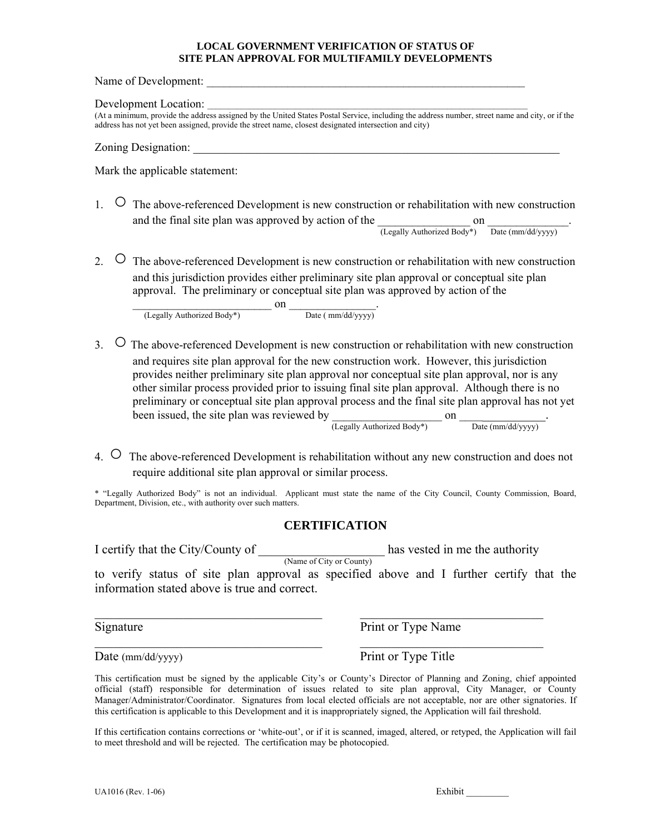#### **LOCAL GOVERNMENT VERIFICATION OF STATUS OF SITE PLAN APPROVAL FOR MULTIFAMILY DEVELOPMENTS**

Name of Development:

#### Development Location:

(At a minimum, provide the address assigned by the United States Postal Service, including the address number, street name and city, or if the address has not yet been assigned, provide the street name, closest designated intersection and city)

#### Zoning Designation:

Mark the applicable statement:

- 1. O The above-referenced Development is new construction or rehabilitation with new construction and the final site plan was approved by action of the  $\frac{1}{(Legally Authorized Body^*)}$  on  $\frac{1}{Date (mm/dd/yyyy)}$
- 2. O The above-referenced Development is new construction or rehabilitation with new construction and this jurisdiction provides either preliminary site plan approval or conceptual site plan approval. The preliminary or conceptual site plan was approved by action of the

 $\frac{1}{($ Legally Authorized Body<sup>\*</sup> $)$   $\frac{1}{($  Date ( mm/dd/yyyy)<sup>-1</sup>

3. ○ The above-referenced Development is new construction or rehabilitation with new construction and requires site plan approval for the new construction work. However, this jurisdiction provides neither preliminary site plan approval nor conceptual site plan approval, nor is any other similar process provided prior to issuing final site plan approval. Although there is no preliminary or conceptual site plan approval process and the final site plan approval has not yet been issued, the site plan was reviewed by  $\frac{1}{\text{(Legally Authorized Body*)}}$  on  $\frac{1}{\text{Date (mm/dd/yyy)}}$ .

4. ○ The above-referenced Development is rehabilitation without any new construction and does not require additional site plan approval or similar process.

\* "Legally Authorized Body" is not an individual. Applicant must state the name of the City Council, County Commission, Board, Department, Division, etc., with authority over such matters.

## **CERTIFICATION**

I certify that the City/County of  $\frac{N_{\text{name of City or County}}}{N_{\text{name of City or County}}}$  has vested in me the authority to verify status of site plan approval as specified above and I further certify that the information stated above is true and correct.

 $\mathcal{L}_\text{max} = \mathcal{L}_\text{max} = \mathcal{L}_\text{max} = \mathcal{L}_\text{max} = \mathcal{L}_\text{max} = \mathcal{L}_\text{max} = \mathcal{L}_\text{max} = \mathcal{L}_\text{max} = \mathcal{L}_\text{max} = \mathcal{L}_\text{max} = \mathcal{L}_\text{max} = \mathcal{L}_\text{max} = \mathcal{L}_\text{max} = \mathcal{L}_\text{max} = \mathcal{L}_\text{max} = \mathcal{L}_\text{max} = \mathcal{L}_\text{max} = \mathcal{L}_\text{max} = \mathcal{$ 

 $\mathcal{L}_\text{max}$  , and the contribution of the contribution of the contribution of the contribution of the contribution of the contribution of the contribution of the contribution of the contribution of the contribution of t

Signature Print or Type Name

Date (mm/dd/yyyy) Print or Type Title

This certification must be signed by the applicable City's or County's Director of Planning and Zoning, chief appointed official (staff) responsible for determination of issues related to site plan approval, City Manager, or County Manager/Administrator/Coordinator. Signatures from local elected officials are not acceptable, nor are other signatories. If this certification is applicable to this Development and it is inappropriately signed, the Application will fail threshold.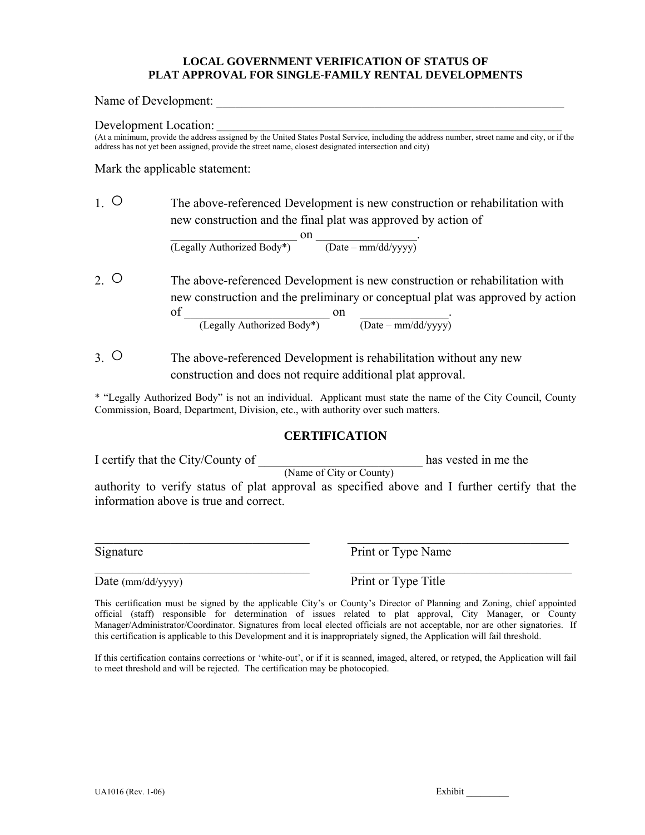## **LOCAL GOVERNMENT VERIFICATION OF STATUS OF PLAT APPROVAL FOR SINGLE-FAMILY RENTAL DEVELOPMENTS**

Name of Development:

Development Location:

(At a minimum, provide the address assigned by the United States Postal Service, including the address number, street name and city, or if the address has not yet been assigned, provide the street name, closest designated intersection and city)

Mark the applicable statement:

1. ○The above-referenced Development is new construction or rehabilitation with new construction and the final plat was approved by action of

 $\mathsf{on}$   $\qquad \qquad$ (Legally Authorized Body\*) (Date – mm/dd/yyyy)

2. ○The above-referenced Development is new construction or rehabilitation with new construction and the preliminary or conceptual plat was approved by action

of  $\frac{C_1}{C_2}$  (Legally Authorized Body\*)  $\frac{C_1}{C_1}$  (Date – mm/dd/yyyy)

3. ○The above-referenced Development is rehabilitation without any new construction and does not require additional plat approval.

\* "Legally Authorized Body" is not an individual. Applicant must state the name of the City Council, County Commission, Board, Department, Division, etc., with authority over such matters.

## **CERTIFICATION**

I certify that the City/County of  $\frac{N_{\text{name of City or County}}}{N_{\text{name of City or County}}}$  has vested in me the authority to verify status of plat approval as specified above and I further certify that the information above is true and correct.

 $\mathcal{L}_\text{max} = \mathcal{L}_\text{max} = \mathcal{L}_\text{max} = \mathcal{L}_\text{max} = \mathcal{L}_\text{max} = \mathcal{L}_\text{max} = \mathcal{L}_\text{max} = \mathcal{L}_\text{max} = \mathcal{L}_\text{max} = \mathcal{L}_\text{max} = \mathcal{L}_\text{max} = \mathcal{L}_\text{max} = \mathcal{L}_\text{max} = \mathcal{L}_\text{max} = \mathcal{L}_\text{max} = \mathcal{L}_\text{max} = \mathcal{L}_\text{max} = \mathcal{L}_\text{max} = \mathcal{$ 

 $\_$  , and the contribution of the contribution of  $\mathcal{L}_\mathcal{A}$  , and the contribution of  $\mathcal{L}_\mathcal{A}$ 

Signature Print or Type Name

Date (mm/dd/yyyy) Print or Type Title

This certification must be signed by the applicable City's or County's Director of Planning and Zoning, chief appointed official (staff) responsible for determination of issues related to plat approval, City Manager, or County Manager/Administrator/Coordinator. Signatures from local elected officials are not acceptable, nor are other signatories. If this certification is applicable to this Development and it is inappropriately signed, the Application will fail threshold.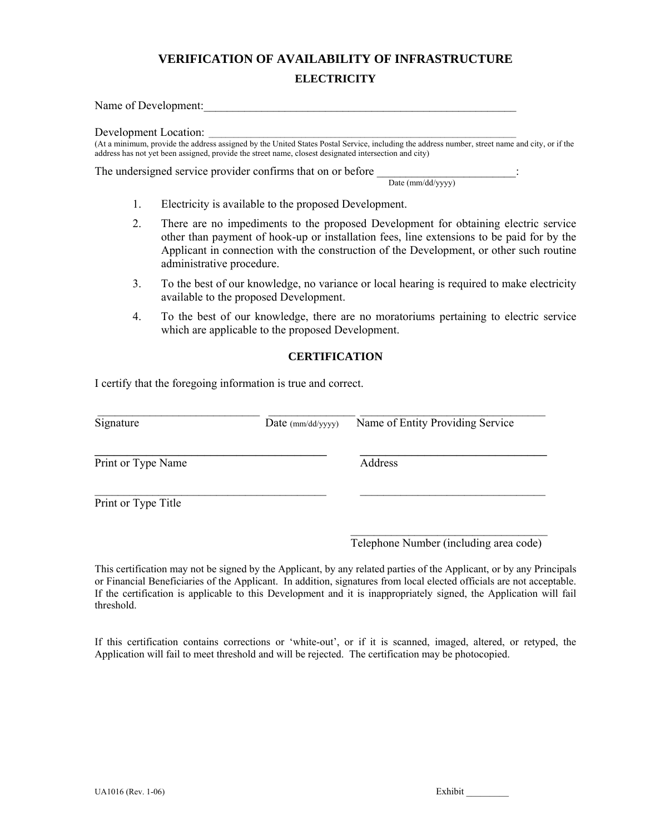## **ELECTRICITY**

Name of Development:

Development Location:

(At a minimum, provide the address assigned by the United States Postal Service, including the address number, street name and city, or if the address has not yet been assigned, provide the street name, closest designated intersection and city)

The undersigned service provider confirms that on or before  $\frac{1}{\text{Date (mm/dd/yyy)}}$ 

- 1. Electricity is available to the proposed Development.
- 2. There are no impediments to the proposed Development for obtaining electric service other than payment of hook-up or installation fees, line extensions to be paid for by the Applicant in connection with the construction of the Development, or other such routine administrative procedure.
- 3. To the best of our knowledge, no variance or local hearing is required to make electricity available to the proposed Development.
- 4. To the best of our knowledge, there are no moratoriums pertaining to electric service which are applicable to the proposed Development.

## **CERTIFICATION**

I certify that the foregoing information is true and correct.

| Signature           | Date $\text{(mm/dd/yyyy)}$ | Name of Entity Providing Service |
|---------------------|----------------------------|----------------------------------|
| Print or Type Name  |                            | Address                          |
| Print or Type Title |                            |                                  |

Telephone Number (including area code)

This certification may not be signed by the Applicant, by any related parties of the Applicant, or by any Principals or Financial Beneficiaries of the Applicant. In addition, signatures from local elected officials are not acceptable. If the certification is applicable to this Development and it is inappropriately signed, the Application will fail threshold.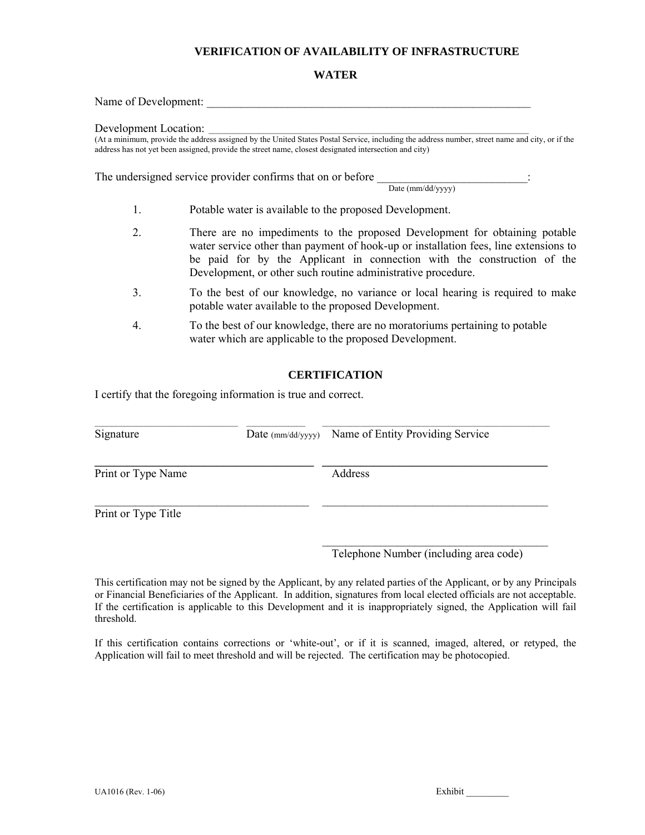### **WATER**

Name of Development:

Development Location:

(At a minimum, provide the address assigned by the United States Postal Service, including the address number, street name and city, or if the address has not yet been assigned, provide the street name, closest designated intersection and city)

The undersigned service provider confirms that on or before

Date (mm/dd/yyyy)

- 1. Potable water is available to the proposed Development.
- 2. There are no impediments to the proposed Development for obtaining potable water service other than payment of hook-up or installation fees, line extensions to be paid for by the Applicant in connection with the construction of the Development, or other such routine administrative procedure.
- 3. To the best of our knowledge, no variance or local hearing is required to make potable water available to the proposed Development.
- 4. To the best of our knowledge, there are no moratoriums pertaining to potable water which are applicable to the proposed Development.

### **CERTIFICATION**

I certify that the foregoing information is true and correct.

| Signature           | Date $\text{(mm/dd/yyyy)}$ | Name of Entity Providing Service |
|---------------------|----------------------------|----------------------------------|
| Print or Type Name  |                            | Address                          |
| Print or Type Title |                            |                                  |

 $\mathcal{L}_\text{max}$  and  $\mathcal{L}_\text{max}$  and  $\mathcal{L}_\text{max}$  and  $\mathcal{L}_\text{max}$  and  $\mathcal{L}_\text{max}$ 

Telephone Number (including area code)

This certification may not be signed by the Applicant, by any related parties of the Applicant, or by any Principals or Financial Beneficiaries of the Applicant. In addition, signatures from local elected officials are not acceptable. If the certification is applicable to this Development and it is inappropriately signed, the Application will fail threshold.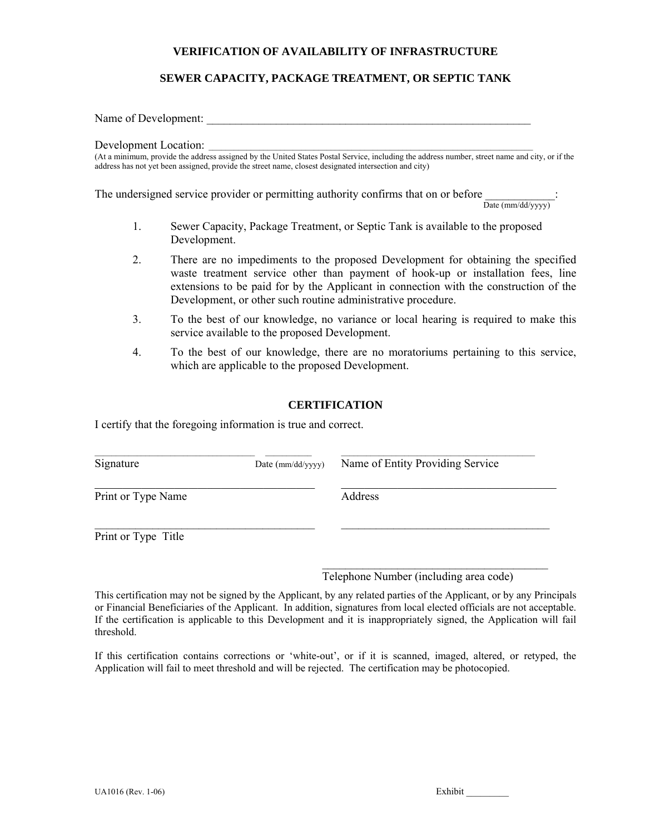## **SEWER CAPACITY, PACKAGE TREATMENT, OR SEPTIC TANK**

Name of Development:

Development Location: \_\_\_\_\_\_\_\_\_\_\_\_\_\_\_\_\_\_\_\_\_\_\_\_\_\_\_\_\_\_\_\_\_\_\_\_\_\_\_\_\_\_\_\_\_\_\_\_\_\_\_\_\_\_\_\_\_\_\_\_\_\_\_\_\_\_\_\_\_\_\_\_\_\_\_\_\_

(At a minimum, provide the address assigned by the United States Postal Service, including the address number, street name and city, or if the address has not yet been assigned, provide the street name, closest designated intersection and city)

The undersigned service provider or permitting authority confirms that on or before  $\cdot$ 

Date (mm/dd/yyyy)

- 1. Sewer Capacity, Package Treatment, or Septic Tank is available to the proposed Development.
- 2. There are no impediments to the proposed Development for obtaining the specified waste treatment service other than payment of hook-up or installation fees, line extensions to be paid for by the Applicant in connection with the construction of the Development, or other such routine administrative procedure.
- 3. To the best of our knowledge, no variance or local hearing is required to make this service available to the proposed Development.
- 4. To the best of our knowledge, there are no moratoriums pertaining to this service, which are applicable to the proposed Development.

### **CERTIFICATION**

I certify that the foregoing information is true and correct.

| Signature           | Date $\text{(mm/dd/yyyy)}$ | Name of Entity Providing Service |
|---------------------|----------------------------|----------------------------------|
| Print or Type Name  |                            | Address                          |
| Print or Type Title |                            |                                  |

Telephone Number (including area code)

This certification may not be signed by the Applicant, by any related parties of the Applicant, or by any Principals or Financial Beneficiaries of the Applicant. In addition, signatures from local elected officials are not acceptable. If the certification is applicable to this Development and it is inappropriately signed, the Application will fail threshold.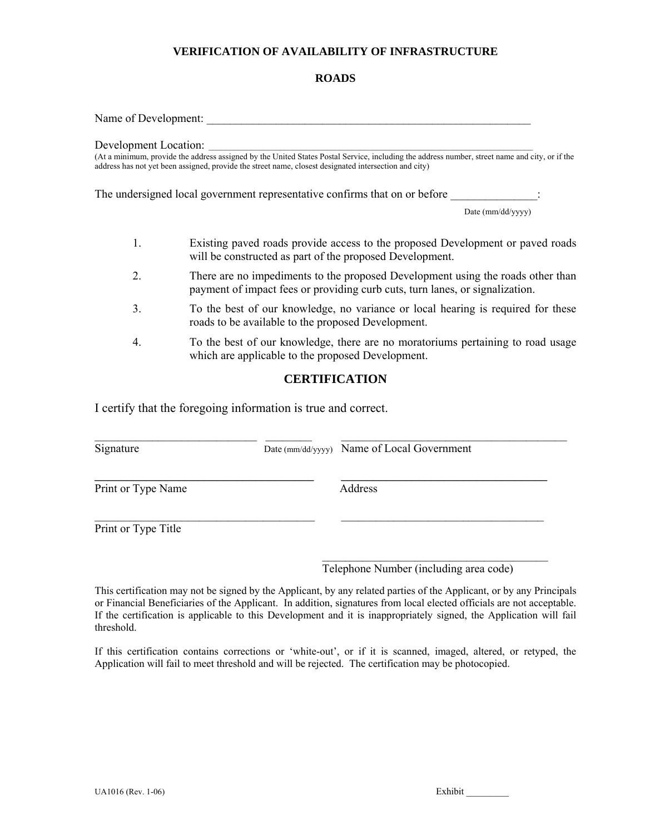## **ROADS**

Name of Development:

Development Location:

(At a minimum, provide the address assigned by the United States Postal Service, including the address number, street name and city, or if the address has not yet been assigned, provide the street name, closest designated intersection and city)

The undersigned local government representative confirms that on or before

Date (mm/dd/yyyy)

- 1. Existing paved roads provide access to the proposed Development or paved roads will be constructed as part of the proposed Development.
- 2. There are no impediments to the proposed Development using the roads other than payment of impact fees or providing curb cuts, turn lanes, or signalization.
- 3. To the best of our knowledge, no variance or local hearing is required for these roads to be available to the proposed Development.
- 4. To the best of our knowledge, there are no moratoriums pertaining to road usage which are applicable to the proposed Development.

## **CERTIFICATION**

I certify that the foregoing information is true and correct.

| Signature           | Date (mm/dd/yyyy) Name of Local Government |  |
|---------------------|--------------------------------------------|--|
| Print or Type Name  | Address                                    |  |
| Print or Type Title |                                            |  |

Telephone Number (including area code)

This certification may not be signed by the Applicant, by any related parties of the Applicant, or by any Principals or Financial Beneficiaries of the Applicant. In addition, signatures from local elected officials are not acceptable. If the certification is applicable to this Development and it is inappropriately signed, the Application will fail threshold.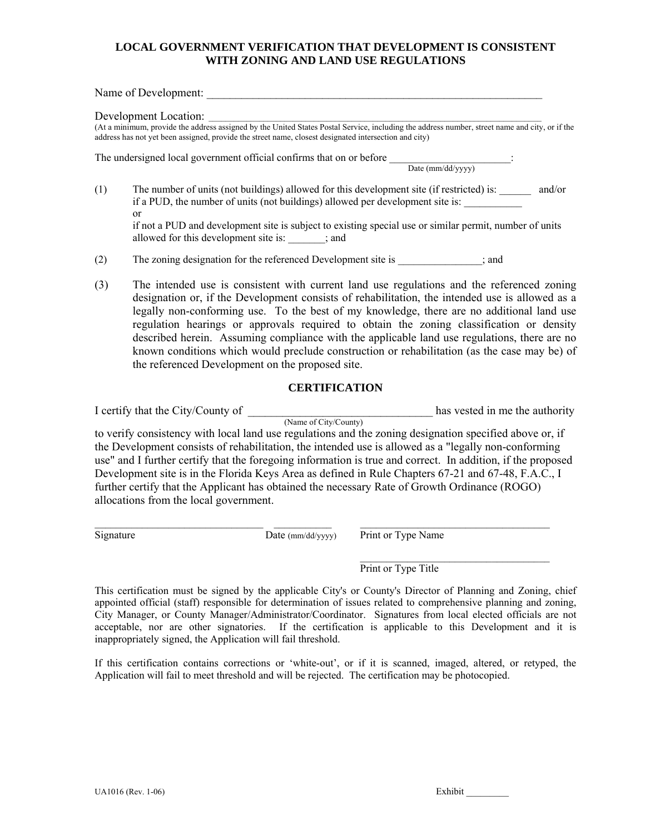## **LOCAL GOVERNMENT VERIFICATION THAT DEVELOPMENT IS CONSISTENT WITH ZONING AND LAND USE REGULATIONS**

Name of Development:

Development Location:

(At a minimum, provide the address assigned by the United States Postal Service, including the address number, street name and city, or if the address has not yet been assigned, provide the street name, closest designated intersection and city)

The undersigned local government official confirms that on or before \_\_\_\_\_\_\_\_\_\_\_\_\_\_\_\_\_\_\_\_\_:

Date (mm/dd/yyyy)

- (1) The number of units (not buildings) allowed for this development site (if restricted) is: \_\_\_\_\_\_ and/or if a PUD, the number of units (not buildings) allowed per development site is: or if not a PUD and development site is subject to existing special use or similar permit, number of units allowed for this development site is: \_\_\_\_\_\_\_; and
- (2) The zoning designation for the referenced Development site is \_\_\_\_\_\_\_\_\_\_\_\_\_\_\_\_; and
- (3) The intended use is consistent with current land use regulations and the referenced zoning designation or, if the Development consists of rehabilitation, the intended use is allowed as a legally non-conforming use. To the best of my knowledge, there are no additional land use regulation hearings or approvals required to obtain the zoning classification or density described herein. Assuming compliance with the applicable land use regulations, there are no known conditions which would preclude construction or rehabilitation (as the case may be) of the referenced Development on the proposed site.

### **CERTIFICATION**

I certify that the City/County of \_\_\_\_\_\_\_\_\_\_\_\_\_\_\_\_\_\_\_\_\_\_\_\_\_\_\_\_\_\_\_\_ has vested in me the authority

 *• <b>I • <b>I <b><i>S <b>P <b><i> <b>C <b>C <b>C <b>C <b><i> <b>C <b>C <b>C <b><i> <b>P <b><i> <b> <b><i> <b> <b> <i> <b> <i><b> <b> <i><b> <i><b> <b>* to verify consistency with local land use regulations and the zoning designation specified above or, if the Development consists of rehabilitation, the intended use is allowed as a "legally non-conforming use" and I further certify that the foregoing information is true and correct. In addition, if the proposed Development site is in the Florida Keys Area as defined in Rule Chapters 67-21 and 67-48, F.A.C., I further certify that the Applicant has obtained the necessary Rate of Growth Ordinance (ROGO) allocations from the local government.

 $\_$  , and the state of the state of the state of the state of the state of the state of the state of the state of the state of the state of the state of the state of the state of the state of the state of the state of the

 $\frac{1}{\sqrt{2}}$  , and the state of the state of the state of the state of the state of the state of the state of the state of the state of the state of the state of the state of the state of the state of the state of the sta

 $\overline{\text{Signature}}$  Date (mm/dd/yyyy) Print or Type Name

Print or Type Title

This certification must be signed by the applicable City's or County's Director of Planning and Zoning, chief appointed official (staff) responsible for determination of issues related to comprehensive planning and zoning, City Manager, or County Manager/Administrator/Coordinator. Signatures from local elected officials are not acceptable, nor are other signatories. If the certification is applicable to this Development and it is inappropriately signed, the Application will fail threshold.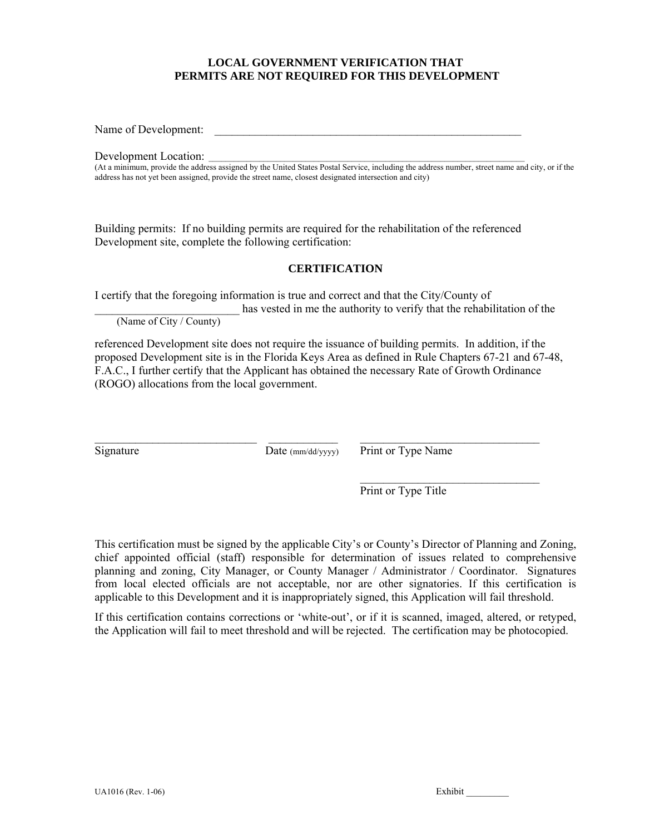## **LOCAL GOVERNMENT VERIFICATION THAT PERMITS ARE NOT REQUIRED FOR THIS DEVELOPMENT**

Name of Development:

Development Location:

(At a minimum, provide the address assigned by the United States Postal Service, including the address number, street name and city, or if the address has not yet been assigned, provide the street name, closest designated intersection and city)

Building permits: If no building permits are required for the rehabilitation of the referenced Development site, complete the following certification:

## **CERTIFICATION**

I certify that the foregoing information is true and correct and that the City/County of

has vested in me the authority to verify that the rehabilitation of the

(Name of City / County)

referenced Development site does not require the issuance of building permits. In addition, if the proposed Development site is in the Florida Keys Area as defined in Rule Chapters 67-21 and 67-48, F.A.C., I further certify that the Applicant has obtained the necessary Rate of Growth Ordinance (ROGO) allocations from the local government.

 $\mathcal{L}_\text{max} = \frac{1}{2} \sum_{i=1}^n \mathcal{L}_\text{max}(\mathbf{z}_i - \mathbf{z}_i)$ 

Signature Date (mm/dd/yyyy) Print or Type Name

 $\mathcal{L}_\text{max}$  and the contract of the contract of the contract of the contract of the contract of the contract of the contract of the contract of the contract of the contract of the contract of the contract of the contrac Print or Type Title

This certification must be signed by the applicable City's or County's Director of Planning and Zoning, chief appointed official (staff) responsible for determination of issues related to comprehensive planning and zoning, City Manager, or County Manager / Administrator / Coordinator. Signatures from local elected officials are not acceptable, nor are other signatories. If this certification is applicable to this Development and it is inappropriately signed, this Application will fail threshold.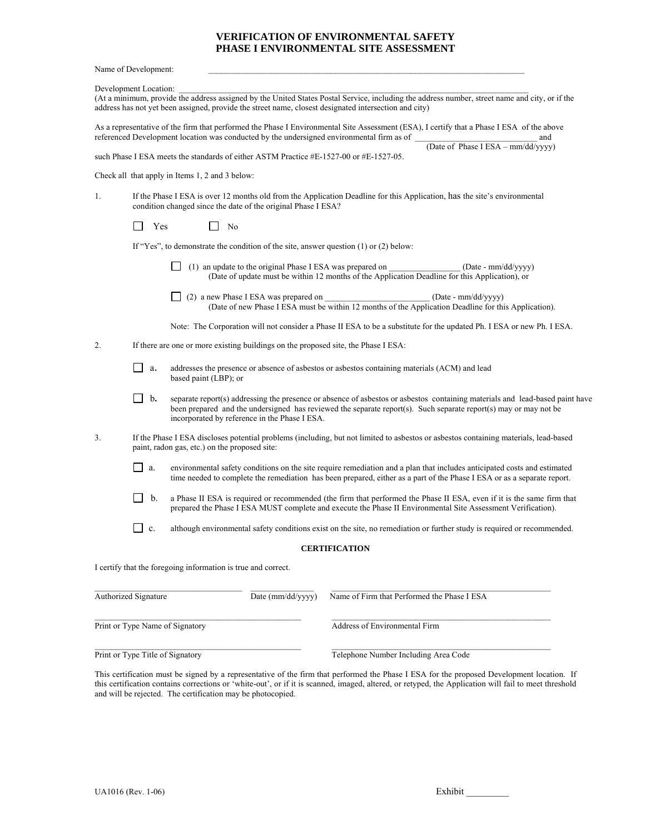#### **VERIFICATION OF ENVIRONMENTAL SAFETY PHASE I ENVIRONMENTAL SITE ASSESSMENT**

Name of Development:

Development Location:

(At a minimum, provide the address assigned by the United States Postal Service, including the address number, street name and city, or if the address has not yet been assigned, provide the street name, closest designated intersection and city)

As a representative of the firm that performed the Phase I Environmental Site Assessment (ESA), I certify that a Phase I ESA of the above referenced Development location was conducted by the undersigned environmental firm as of  $\blacksquare$ (Date of Phase I ESA – mm/dd/yyyy)

such Phase I ESA meets the standards of either ASTM Practice #E-1527-00 or #E-1527-05.

Check all that apply in Items 1, 2 and 3 below:

1. If the Phase I ESA is over 12 months old from the Application Deadline for this Application, has the site's environmental condition changed since the date of the original Phase I ESA?

No No No

If "Yes", to demonstrate the condition of the site, answer question (1) or (2) below:

- (1) an update to the original Phase I ESA was prepared on \_\_\_\_\_\_\_\_\_\_\_\_\_\_\_\_\_ (Date mm/dd/yyyy) (Date of update must be within 12 months of the Application Deadline for this Application), or
- (2) a new Phase I ESA was prepared on \_\_\_\_\_\_\_\_\_\_\_\_\_\_\_\_\_\_\_\_\_\_\_\_\_ (Date mm/dd/yyyy) (Date of new Phase I ESA must be within 12 months of the Application Deadline for this Application).

Note: The Corporation will not consider a Phase II ESA to be a substitute for the updated Ph. I ESA or new Ph. I ESA.

- 2. If there are one or more existing buildings on the proposed site, the Phase I ESA:
	- **a.** addresses the presence or absence of asbestos or asbestos containing materials (ACM) and lead based paint (LBP); or
	- **b.** separate report(s) addressing the presence or absence of asbestos or asbestos containing materials and lead-based paint have been prepared and the undersigned has reviewed the separate report(s). Such separate report(s) may or may not be incorporated by reference in the Phase I ESA.
- 3. If the Phase I ESA discloses potential problems (including, but not limited to asbestos or asbestos containing materials, lead-based paint, radon gas, etc.) on the proposed site:
	- $\Box$  a. environmental safety conditions on the site require remediation and a plan that includes anticipated costs and estimated time needed to complete the remediation has been prepared, either as a part of the Phase I ESA or as a separate report.
	- b. a Phase II ESA is required or recommended (the firm that performed the Phase II ESA, even if it is the same firm that prepared the Phase I ESA MUST complete and execute the Phase II Environmental Site Assessment Verification).
	- $\Box$  c. although environmental safety conditions exist on the site, no remediation or further study is required or recommended.

#### **CERTIFICATION**

I certify that the foregoing information is true and correct.

| Authorized Signature             | Date $\text{(mm/dd/yyyy)}$ | Name of Firm that Performed the Phase I ESA |
|----------------------------------|----------------------------|---------------------------------------------|
| Print or Type Name of Signatory  |                            | Address of Environmental Firm               |
| Print or Type Title of Signatory |                            | Telephone Number Including Area Code        |

This certification must be signed by a representative of the firm that performed the Phase I ESA for the proposed Development location.If this certification contains corrections or 'white-out', or if it is scanned, imaged, altered, or retyped, the Application will fail to meet threshold and will be rejected. The certification may be photocopied.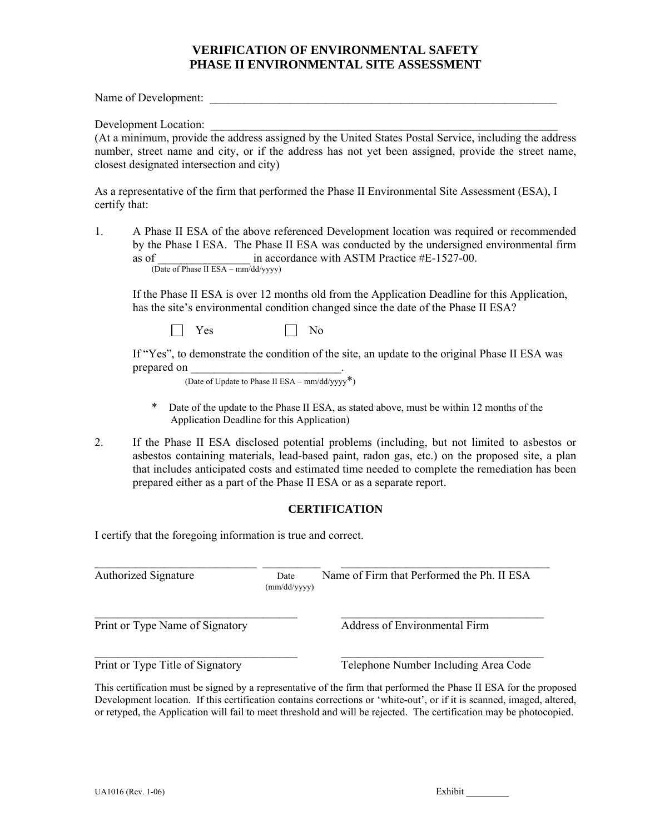## **VERIFICATION OF ENVIRONMENTAL SAFETY PHASE II ENVIRONMENTAL SITE ASSESSMENT**

Name of Development:

Development Location:

(At a minimum, provide the address assigned by the United States Postal Service, including the address number, street name and city, or if the address has not yet been assigned, provide the street name, closest designated intersection and city)

As a representative of the firm that performed the Phase II Environmental Site Assessment (ESA), I certify that:

1. A Phase II ESA of the above referenced Development location was required or recommended by the Phase I ESA. The Phase II ESA was conducted by the undersigned environmental firm as of  $\frac{1}{2}$  in accordance with ASTM Practice #E-1527-00. (Date of Phase II ESA – mm/dd/yyyy)

If the Phase II ESA is over 12 months old from the Application Deadline for this Application, has the site's environmental condition changed since the date of the Phase II ESA?

 $Yes \t\t \Box No$ 

 If "Yes", to demonstrate the condition of the site, an update to the original Phase II ESA was prepared on

(Date of Update to Phase II ESA – mm/dd/yyyy\*)

- Date of the update to the Phase II ESA, as stated above, must be within 12 months of the Application Deadline for this Application)
- 2.If the Phase II ESA disclosed potential problems (including, but not limited to asbestos or asbestos containing materials, lead-based paint, radon gas, etc.) on the proposed site, a plan that includes anticipated costs and estimated time needed to complete the remediation has been prepared either as a part of the Phase II ESA or as a separate report.

## **CERTIFICATION**

I certify that the foregoing information is true and correct.

| <b>Authorized Signature</b>      | Date<br>$\text{(mm/dd/yyyy)}$ | Name of Firm that Performed the Ph. II ESA |
|----------------------------------|-------------------------------|--------------------------------------------|
| Print or Type Name of Signatory  |                               | <b>Address of Environmental Firm</b>       |
| Print or Type Title of Signatory |                               | Telephone Number Including Area Code       |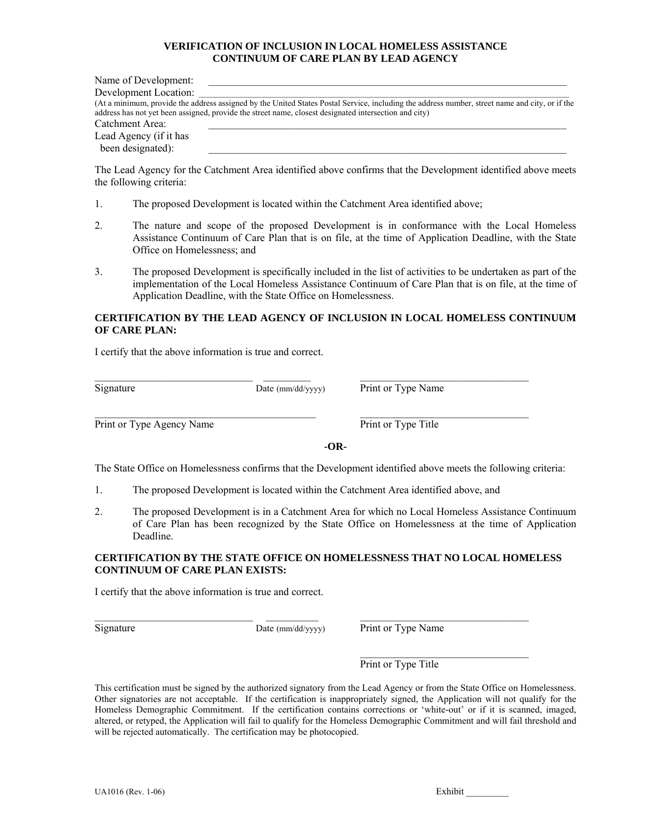#### **VERIFICATION OF INCLUSION IN LOCAL HOMELESS ASSISTANCE CONTINUUM OF CARE PLAN BY LEAD AGENCY**

| Name of Development:   |                                                                                                                                                                                                                                                         |
|------------------------|---------------------------------------------------------------------------------------------------------------------------------------------------------------------------------------------------------------------------------------------------------|
| Development Location:  |                                                                                                                                                                                                                                                         |
|                        | (At a minimum, provide the address assigned by the United States Postal Service, including the address number, street name and city, or if the<br>address has not yet been assigned, provide the street name, closest designated intersection and city) |
| Catchment Area:        |                                                                                                                                                                                                                                                         |
| Lead Agency (if it has |                                                                                                                                                                                                                                                         |
| been designated):      |                                                                                                                                                                                                                                                         |

The Lead Agency for the Catchment Area identified above confirms that the Development identified above meets the following criteria:

- 1. The proposed Development is located within the Catchment Area identified above;
- 2. The nature and scope of the proposed Development is in conformance with the Local Homeless Assistance Continuum of Care Plan that is on file, at the time of Application Deadline, with the State Office on Homelessness; and
- 3. The proposed Development is specifically included in the list of activities to be undertaken as part of the implementation of the Local Homeless Assistance Continuum of Care Plan that is on file, at the time of Application Deadline, with the State Office on Homelessness.

#### **CERTIFICATION BY THE LEAD AGENCY OF INCLUSION IN LOCAL HOMELESS CONTINUUM OF CARE PLAN:**

I certify that the above information is true and correct.

\_\_\_\_\_\_\_\_\_\_\_\_\_\_\_\_\_\_\_\_\_\_\_\_\_\_\_\_\_\_ \_\_\_\_\_\_\_\_\_ \_\_\_\_\_\_\_\_\_\_\_\_\_\_\_\_\_\_\_\_\_\_\_\_\_\_\_\_\_\_\_\_

 $\mathcal{L}_\text{max}$  , and the set of the set of the set of the set of the set of the set of the set of the set of the set of

 $\overline{\text{Signature}}$  Date (mm/dd/yyyy) Print or Type Name

Print or Type Agency Name Print or Type Title

**-OR-**

The State Office on Homelessness confirms that the Development identified above meets the following criteria:

1. The proposed Development is located within the Catchment Area identified above, and

2. The proposed Development is in a Catchment Area for which no Local Homeless Assistance Continuum of Care Plan has been recognized by the State Office on Homelessness at the time of Application Deadline.

**CERTIFICATION BY THE STATE OFFICE ON HOMELESSNESS THAT NO LOCAL HOMELESS CONTINUUM OF CARE PLAN EXISTS:** 

I certify that the above information is true and correct.

Signature Date (mm/dd/yyyy) Print or Type Name

Print or Type Title

This certification must be signed by the authorized signatory from the Lead Agency or from the State Office on Homelessness. Other signatories are not acceptable. If the certification is inappropriately signed, the Application will not qualify for the Homeless Demographic Commitment. If the certification contains corrections or 'white-out' or if it is scanned, imaged, altered, or retyped, the Application will fail to qualify for the Homeless Demographic Commitment and will fail threshold and will be rejected automatically. The certification may be photocopied.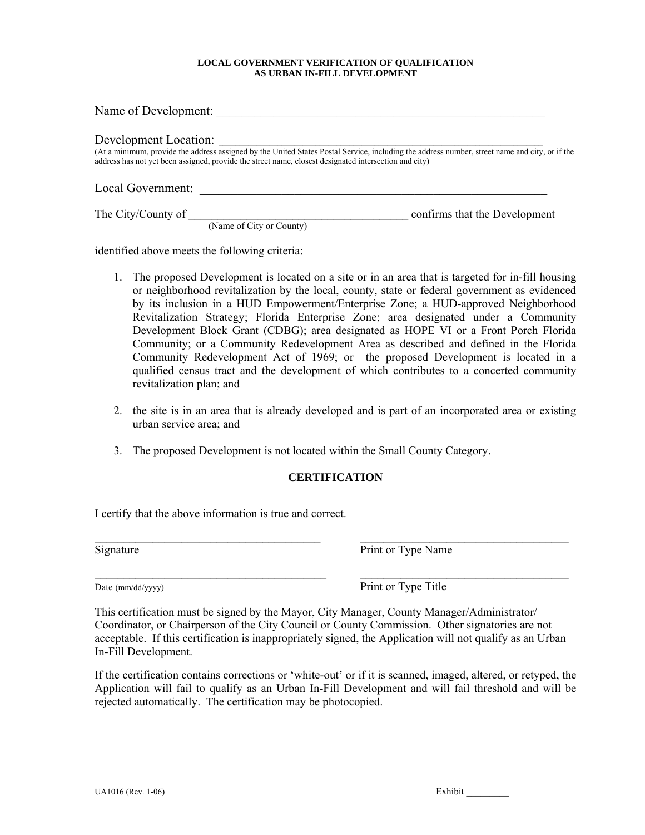#### **LOCAL GOVERNMENT VERIFICATION OF QUALIFICATION AS URBAN IN-FILL DEVELOPMENT**

| Name of Development:  |                                                                                                       |                                                                                                                                                |
|-----------------------|-------------------------------------------------------------------------------------------------------|------------------------------------------------------------------------------------------------------------------------------------------------|
| Development Location: |                                                                                                       |                                                                                                                                                |
|                       | address has not yet been assigned, provide the street name, closest designated intersection and city) | (At a minimum, provide the address assigned by the United States Postal Service, including the address number, street name and city, or if the |
| Local Government:     |                                                                                                       |                                                                                                                                                |
| The City/County of    |                                                                                                       | confirms that the Development                                                                                                                  |

identified above meets the following criteria:

- 1. The proposed Development is located on a site or in an area that is targeted for in-fill housing or neighborhood revitalization by the local, county, state or federal government as evidenced by its inclusion in a HUD Empowerment/Enterprise Zone; a HUD-approved Neighborhood Revitalization Strategy; Florida Enterprise Zone; area designated under a Community Development Block Grant (CDBG); area designated as HOPE VI or a Front Porch Florida Community; or a Community Redevelopment Area as described and defined in the Florida Community Redevelopment Act of 1969; or the proposed Development is located in a qualified census tract and the development of which contributes to a concerted community revitalization plan; and
- 2. the site is in an area that is already developed and is part of an incorporated area or existing urban service area; and
- 3. The proposed Development is not located within the Small County Category.

## **CERTIFICATION**

I certify that the above information is true and correct.

Signature Print or Type Name

Date (mm/dd/yyyy) Print or Type Title

This certification must be signed by the Mayor, City Manager, County Manager/Administrator/ Coordinator, or Chairperson of the City Council or County Commission. Other signatories are not acceptable. If this certification is inappropriately signed, the Application will not qualify as an Urban In-Fill Development.

If the certification contains corrections or 'white-out' or if it is scanned, imaged, altered, or retyped, the Application will fail to qualify as an Urban In-Fill Development and will fail threshold and will be rejected automatically. The certification may be photocopied.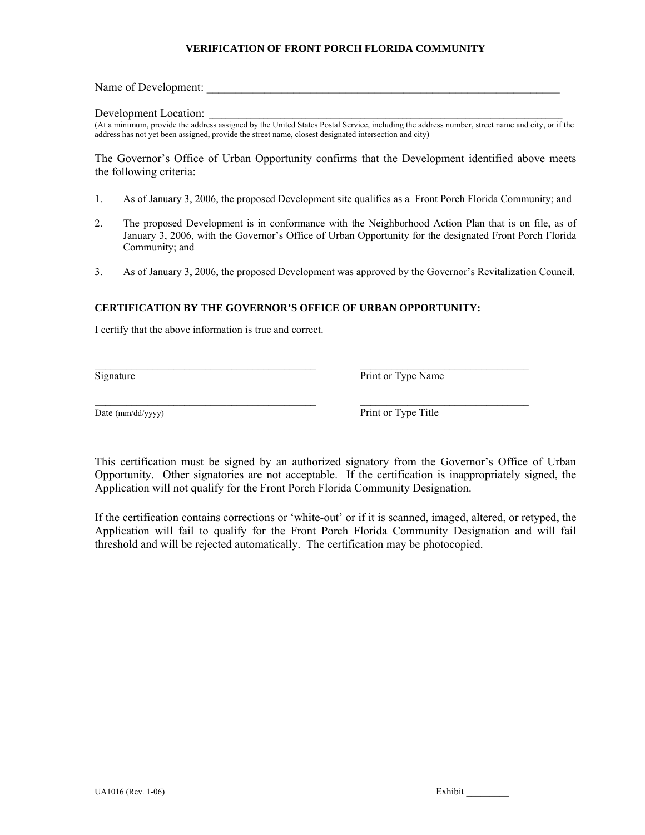#### **VERIFICATION OF FRONT PORCH FLORIDA COMMUNITY**

Name of Development:

#### Development Location:

(At a minimum, provide the address assigned by the United States Postal Service, including the address number, street name and city, or if the address has not yet been assigned, provide the street name, closest designated intersection and city)

The Governor's Office of Urban Opportunity confirms that the Development identified above meets the following criteria:

- 1. As of January 3, 2006, the proposed Development site qualifies as a Front Porch Florida Community; and
- 2. The proposed Development is in conformance with the Neighborhood Action Plan that is on file, as of January 3, 2006, with the Governor's Office of Urban Opportunity for the designated Front Porch Florida Community; and
- 3. As of January 3, 2006, the proposed Development was approved by the Governor's Revitalization Council.

#### **CERTIFICATION BY THE GOVERNOR'S OFFICE OF URBAN OPPORTUNITY:**

I certify that the above information is true and correct.

Signature Print or Type Name

Date (mm/dd/yyyy) Print or Type Title

This certification must be signed by an authorized signatory from the Governor's Office of Urban Opportunity. Other signatories are not acceptable. If the certification is inappropriately signed, the Application will not qualify for the Front Porch Florida Community Designation.

If the certification contains corrections or 'white-out' or if it is scanned, imaged, altered, or retyped, the Application will fail to qualify for the Front Porch Florida Community Designation and will fail threshold and will be rejected automatically. The certification may be photocopied.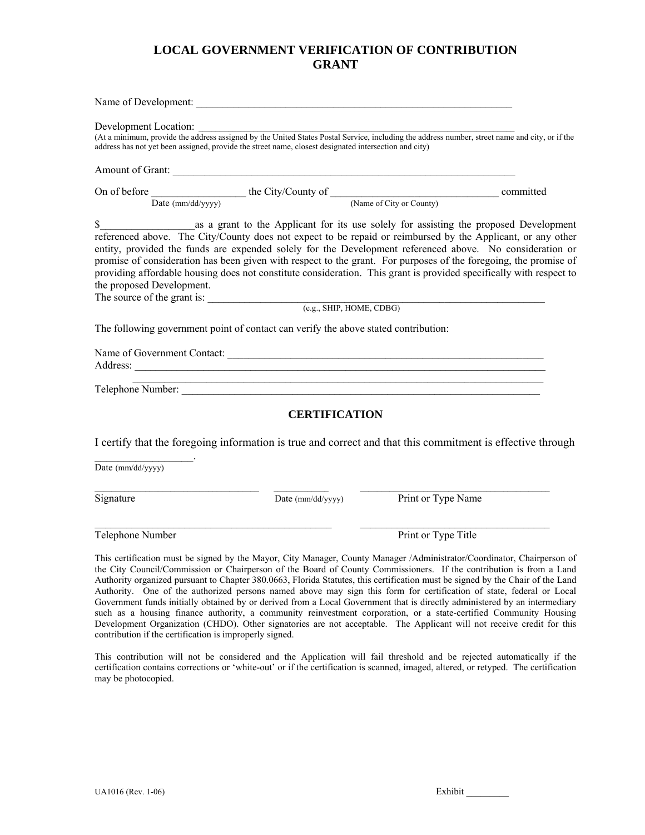# **LOCAL GOVERNMENT VERIFICATION OF CONTRIBUTION GRANT**

| address has not yet been assigned, provide the street name, closest designated intersection and city) |                      | Development Location: Location: Location: Location: Location of the United States Postal Service, including the address number, street name and city, or if the                                                                                                                                                                                                                                                                                                                                          |  |
|-------------------------------------------------------------------------------------------------------|----------------------|----------------------------------------------------------------------------------------------------------------------------------------------------------------------------------------------------------------------------------------------------------------------------------------------------------------------------------------------------------------------------------------------------------------------------------------------------------------------------------------------------------|--|
|                                                                                                       |                      |                                                                                                                                                                                                                                                                                                                                                                                                                                                                                                          |  |
|                                                                                                       |                      | On of before Date (mm/dd/yyyy) the City/County of (Name of City or County) committed COMEX COUNTERM CONTEXT COUNTERM COUNTERM COUNTERM COUNTERM COUNTERM COUNTERM COUNTERM COUNTERM COUNTERM COUNTERM COUNTERM COUNTERM COUNTE                                                                                                                                                                                                                                                                           |  |
|                                                                                                       |                      |                                                                                                                                                                                                                                                                                                                                                                                                                                                                                                          |  |
| the proposed Development.                                                                             |                      | referenced above. The City/County does not expect to be repaid or reimbursed by the Applicant, or any other<br>entity, provided the funds are expended solely for the Development referenced above. No consideration or<br>promise of consideration has been given with respect to the grant. For purposes of the foregoing, the promise of<br>providing affordable housing does not constitute consideration. This grant is provided specifically with respect to                                       |  |
|                                                                                                       |                      |                                                                                                                                                                                                                                                                                                                                                                                                                                                                                                          |  |
| The following government point of contact can verify the above stated contribution:                   |                      |                                                                                                                                                                                                                                                                                                                                                                                                                                                                                                          |  |
|                                                                                                       |                      | Name of Government Contact:                                                                                                                                                                                                                                                                                                                                                                                                                                                                              |  |
|                                                                                                       |                      | Telephone Number:                                                                                                                                                                                                                                                                                                                                                                                                                                                                                        |  |
|                                                                                                       | <b>CERTIFICATION</b> |                                                                                                                                                                                                                                                                                                                                                                                                                                                                                                          |  |
|                                                                                                       |                      | I certify that the foregoing information is true and correct and that this commitment is effective through                                                                                                                                                                                                                                                                                                                                                                                               |  |
| Date (mm/dd/yyyy)                                                                                     |                      |                                                                                                                                                                                                                                                                                                                                                                                                                                                                                                          |  |
| Signature                                                                                             | Date (mm/dd/yyyy)    | Print or Type Name                                                                                                                                                                                                                                                                                                                                                                                                                                                                                       |  |
| Telephone Number                                                                                      |                      | Print or Type Title                                                                                                                                                                                                                                                                                                                                                                                                                                                                                      |  |
|                                                                                                       |                      | This certification must be signed by the Mayor, City Manager, County Manager /Administrator/Coordinator, Chairperson of<br>the City Council/Commission or Chairperson of the Board of County Commissioners. If the contribution is from a Land<br>Authority organized pursuant to Chapter 380.0663, Florida Statutes, this certification must be signed by the Chair of the Land<br>Authority. One of the authorized persons named above may sign this form for certification of state, federal or Local |  |

authorized persons named above may sign this form for certification of state, federal or Government funds initially obtained by or derived from a Local Government that is directly administered by an intermediary such as a housing finance authority, a community reinvestment corporation, or a state-certified Community Housing Development Organization (CHDO). Other signatories are not acceptable. The Applicant will not receive credit for this contribution if the certification is improperly signed.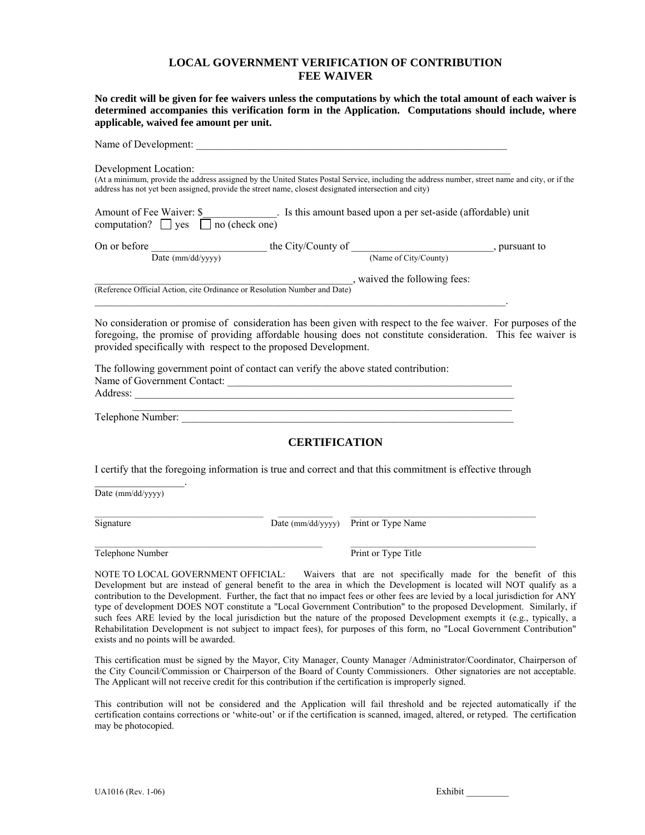#### **LOCAL GOVERNMENT VERIFICATION OF CONTRIBUTION FEE WAIVER**

**No credit will be given for fee waivers unless the computations by which the total amount of each waiver is determined accompanies this verification form in the Application. Computations should include, where applicable, waived fee amount per unit.** 

| Name of Development:                                                      |                                                                                                                                                                                                                                                         |               |
|---------------------------------------------------------------------------|---------------------------------------------------------------------------------------------------------------------------------------------------------------------------------------------------------------------------------------------------------|---------------|
| Development Location:                                                     | (At a minimum, provide the address assigned by the United States Postal Service, including the address number, street name and city, or if the<br>address has not yet been assigned, provide the street name, closest designated intersection and city) |               |
| Amount of Fee Waiver: \$<br>no (check one)<br>computation? $\Box$ yes     | . Is this amount based upon a per set-aside (affordable) unit                                                                                                                                                                                           |               |
| On or before                                                              | the City/County of                                                                                                                                                                                                                                      | , pursuant to |
| Date (mm/dd/yyyy)                                                         | (Name of City/County)                                                                                                                                                                                                                                   |               |
| (Reference Official Action, cite Ordinance or Resolution Number and Date) | , waived the following fees:                                                                                                                                                                                                                            |               |
|                                                                           |                                                                                                                                                                                                                                                         |               |

No consideration or promise of consideration has been given with respect to the fee waiver. For purposes of the foregoing, the promise of providing affordable housing does not constitute consideration. This fee waiver is provided specifically with respect to the proposed Development.

The following government point of contact can verify the above stated contribution: Name of Government Contact: \_\_\_\_\_\_\_\_\_\_\_\_\_\_\_\_\_\_\_\_\_\_\_\_\_\_\_\_\_\_\_\_\_\_\_\_\_\_\_\_\_\_\_\_\_\_\_\_\_\_\_\_\_\_ Address:

Telephone Number:

## **CERTIFICATION**

I certify that the foregoing information is true and correct and that this commitment is effective through

\_\_\_\_\_\_\_\_\_\_\_\_\_\_\_\_\_\_\_\_\_\_\_\_\_\_\_\_\_\_\_\_\_\_\_\_\_\_\_\_ \_\_\_\_\_\_\_\_\_\_\_\_\_ \_\_\_\_\_\_\_\_\_\_\_\_\_\_\_\_\_\_\_\_\_\_\_\_\_\_\_\_\_\_\_\_\_\_\_\_\_\_\_\_\_\_\_\_

\_\_\_\_\_\_\_\_\_\_\_\_\_\_\_\_\_\_\_\_\_\_\_\_\_\_\_\_\_\_\_\_\_\_\_\_\_\_\_\_\_\_\_\_\_\_\_\_\_\_\_\_\_\_ \_\_\_\_\_\_\_\_\_\_\_\_\_\_\_\_\_\_\_\_\_\_\_\_\_\_\_\_\_\_\_\_\_\_\_\_\_\_\_\_\_\_\_\_

Date (mm/dd/yyyy)

 $\mathcal{L}_\text{max}$  and  $\mathcal{L}_\text{max}$  and  $\mathcal{L}_\text{max}$ 

Signature Date (mm/dd/yyyy) Print or Type Name

Telephone Number Print or Type Title

NOTE TO LOCAL GOVERNMENT OFFICIAL: Waivers that are not specifically made for the benefit of this Development but are instead of general benefit to the area in which the Development is located will NOT qualify as a contribution to the Development. Further, the fact that no impact fees or other fees are levied by a local jurisdiction for ANY type of development DOES NOT constitute a "Local Government Contribution" to the proposed Development. Similarly, if such fees ARE levied by the local jurisdiction but the nature of the proposed Development exempts it (e.g., typically, a Rehabilitation Development is not subject to impact fees), for purposes of this form, no "Local Government Contribution" exists and no points will be awarded.

This certification must be signed by the Mayor, City Manager, County Manager /Administrator/Coordinator, Chairperson of the City Council/Commission or Chairperson of the Board of County Commissioners. Other signatories are not acceptable. The Applicant will not receive credit for this contribution if the certification is improperly signed.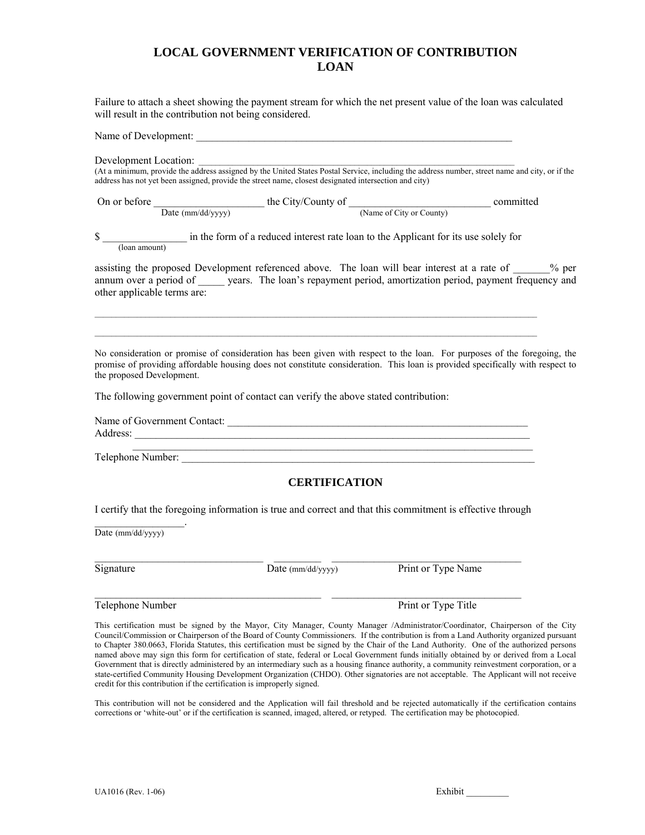# **LOCAL GOVERNMENT VERIFICATION OF CONTRIBUTION LOAN**

Failure to attach a sheet showing the payment stream for which the net present value of the loan was calculated will result in the contribution not being considered.

Name of Development:

Development Location:

(At a minimum, provide the address assigned by the United States Postal Service, including the address number, street name and city, or if the address has not yet been assigned, provide the street name, closest designated intersection and city)

|                             | Date (mm/dd/yyyy)                                                                   |                      |                                                                                                                                                                                                                                                           |
|-----------------------------|-------------------------------------------------------------------------------------|----------------------|-----------------------------------------------------------------------------------------------------------------------------------------------------------------------------------------------------------------------------------------------------------|
| \$                          |                                                                                     |                      | (loan amount) in the form of a reduced interest rate loan to the Applicant for its use solely for                                                                                                                                                         |
| other applicable terms are: |                                                                                     |                      | assisting the proposed Development referenced above. The loan will bear interest at a rate of ______% per<br>annum over a period of years. The loan's repayment period, amortization period, payment frequency and                                        |
| the proposed Development.   | The following government point of contact can verify the above stated contribution: |                      | No consideration or promise of consideration has been given with respect to the loan. For purposes of the foregoing, the<br>promise of providing affordable housing does not constitute consideration. This loan is provided specifically with respect to |
|                             |                                                                                     |                      |                                                                                                                                                                                                                                                           |
|                             |                                                                                     |                      | <u> 1989 - Jan James James James James James James James James James James James James James James James James J</u><br>Telephone Number:                                                                                                                 |
|                             |                                                                                     | <b>CERTIFICATION</b> |                                                                                                                                                                                                                                                           |
|                             |                                                                                     |                      | I certify that the foregoing information is true and correct and that this commitment is effective through                                                                                                                                                |
| Date (mm/dd/yyyy)           |                                                                                     |                      |                                                                                                                                                                                                                                                           |

 $\_$  ,  $\_$  ,  $\_$  ,  $\_$  ,  $\_$  ,  $\_$  ,  $\_$  ,  $\_$  ,  $\_$  ,  $\_$  ,  $\_$  ,  $\_$  ,  $\_$  ,  $\_$  ,  $\_$  ,  $\_$  ,  $\_$  ,  $\_$  ,  $\_$ 

 $\mathcal{L}_\text{max}$  , and the set of the set of the set of the set of the set of the set of the set of the set of the set of the set of the set of the set of the set of the set of the set of the set of the set of the set of the

Signature Date (mm/dd/yyyy) Print or Type Name

Telephone Number **Print or Type Title** 

This certification must be signed by the Mayor, City Manager, County Manager /Administrator/Coordinator, Chairperson of the City Council/Commission or Chairperson of the Board of County Commissioners. If the contribution is from a Land Authority organized pursuant to Chapter 380.0663, Florida Statutes, this certification must be signed by the Chair of the Land Authority. One of the authorized persons named above may sign this form for certification of state, federal or Local Government funds initially obtained by or derived from a Local Government that is directly administered by an intermediary such as a housing finance authority, a community reinvestment corporation, or a state-certified Community Housing Development Organization (CHDO). Other signatories are not acceptable. The Applicant will not receive credit for this contribution if the certification is improperly signed.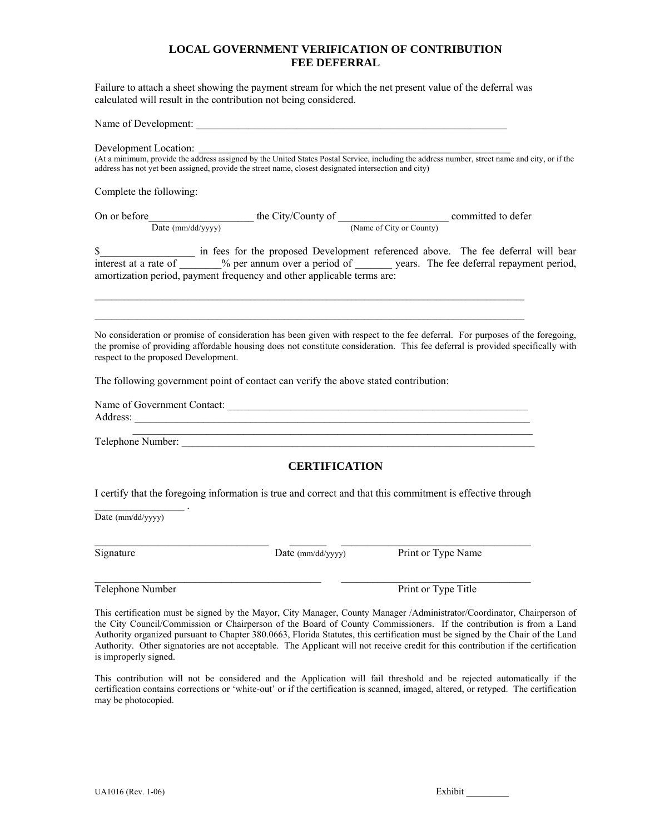### **LOCAL GOVERNMENT VERIFICATION OF CONTRIBUTION FEE DEFERRAL**

Failure to attach a sheet showing the payment stream for which the net present value of the deferral was calculated will result in the contribution not being considered.

Name of Development:

Development Location:

(At a minimum, provide the address assigned by the United States Postal Service, including the address number, street name and city, or if the address has not yet been assigned, provide the street name, closest designated intersection and city)

Complete the following:

On or before the City/County of committed to defer Date (mm/dd/yyyy) (Name of City or County)

 $\mathcal{L}_\mathcal{L} = \{ \mathcal{L}_\mathcal{L} = \{ \mathcal{L}_\mathcal{L} = \{ \mathcal{L}_\mathcal{L} = \{ \mathcal{L}_\mathcal{L} = \{ \mathcal{L}_\mathcal{L} = \{ \mathcal{L}_\mathcal{L} = \{ \mathcal{L}_\mathcal{L} = \{ \mathcal{L}_\mathcal{L} = \{ \mathcal{L}_\mathcal{L} = \{ \mathcal{L}_\mathcal{L} = \{ \mathcal{L}_\mathcal{L} = \{ \mathcal{L}_\mathcal{L} = \{ \mathcal{L}_\mathcal{L} = \{ \mathcal{L}_\mathcal{$  $\mathcal{L}_\mathcal{L} = \{ \mathcal{L}_\mathcal{L} = \{ \mathcal{L}_\mathcal{L} = \{ \mathcal{L}_\mathcal{L} = \{ \mathcal{L}_\mathcal{L} = \{ \mathcal{L}_\mathcal{L} = \{ \mathcal{L}_\mathcal{L} = \{ \mathcal{L}_\mathcal{L} = \{ \mathcal{L}_\mathcal{L} = \{ \mathcal{L}_\mathcal{L} = \{ \mathcal{L}_\mathcal{L} = \{ \mathcal{L}_\mathcal{L} = \{ \mathcal{L}_\mathcal{L} = \{ \mathcal{L}_\mathcal{L} = \{ \mathcal{L}_\mathcal{$ 

\$ interest at a rate of  $\%$  per annum over a period of years. The fee deferral repayment period, amortization period, payment frequency and other applicable terms are:

No consideration or promise of consideration has been given with respect to the fee deferral. For purposes of the foregoing, the promise of providing affordable housing does not constitute consideration. This fee deferral is provided specifically with respect to the proposed Development.

The following government point of contact can verify the above stated contribution:

|          | Name of Government Contact: |  |  |
|----------|-----------------------------|--|--|
| Address: |                             |  |  |
|          |                             |  |  |

Telephone Number:

## **CERTIFICATION**

I certify that the foregoing information is true and correct and that this commitment is effective through

 $\mathcal{L}_\text{max}$  . The set of the set of the set of the set of the set of the set of the set of the set of the set of the set of the set of the set of the set of the set of the set of the set of the set of the set of the set Date (mm/dd/yyyy)

\_\_\_\_\_\_\_\_\_\_\_\_\_\_\_\_\_\_\_\_\_\_\_\_\_\_\_\_\_\_\_\_\_ \_\_\_\_\_\_\_ \_\_\_\_\_\_\_\_\_\_\_\_\_\_\_\_\_\_\_\_\_\_\_\_\_\_\_\_\_\_\_\_\_\_\_\_

 $\mathcal{L}_\text{max}$  , and the set of the set of the set of the set of the set of the set of the set of the set of the set of

Signature Date (mm/dd/yyyy) Print or Type Name

Telephone Number Print or Type Title

This certification must be signed by the Mayor, City Manager, County Manager /Administrator/Coordinator, Chairperson of the City Council/Commission or Chairperson of the Board of County Commissioners. If the contribution is from a Land Authority organized pursuant to Chapter 380.0663, Florida Statutes, this certification must be signed by the Chair of the Land Authority. Other signatories are not acceptable. The Applicant will not receive credit for this contribution if the certification is improperly signed.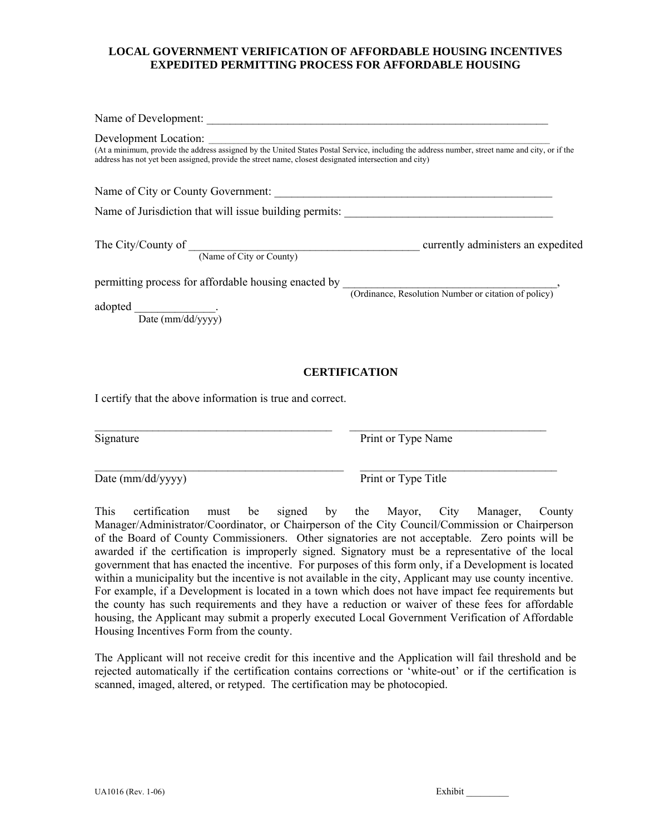## **LOCAL GOVERNMENT VERIFICATION OF AFFORDABLE HOUSING INCENTIVES EXPEDITED PERMITTING PROCESS FOR AFFORDABLE HOUSING**

| Development Location:<br>(At a minimum, provide the address assigned by the United States Postal Service, including the address number, street name and city, or if the<br>address has not yet been assigned, provide the street name, closest designated intersection and city) |  |
|----------------------------------------------------------------------------------------------------------------------------------------------------------------------------------------------------------------------------------------------------------------------------------|--|
|                                                                                                                                                                                                                                                                                  |  |
|                                                                                                                                                                                                                                                                                  |  |
| The City/County of $\frac{C}{\frac{(\text{Name of City or County)}{\text{County}}}}$ currently administers an expedited                                                                                                                                                          |  |
| permitting process for affordable housing enacted by (Ordinance, Resolution Number or citation of policy)                                                                                                                                                                        |  |
| adopted Date (mm/dd/yyyy)                                                                                                                                                                                                                                                        |  |

## **CERTIFICATION**

I certify that the above information is true and correct.

Signature Print or Type Name

Date (mm/dd/yyyy) Print or Type Title

This certification must be signed by the Mayor, City Manager, County Manager/Administrator/Coordinator, or Chairperson of the City Council/Commission or Chairperson of the Board of County Commissioners. Other signatories are not acceptable. Zero points will be awarded if the certification is improperly signed. Signatory must be a representative of the local government that has enacted the incentive. For purposes of this form only, if a Development is located within a municipality but the incentive is not available in the city, Applicant may use county incentive. For example, if a Development is located in a town which does not have impact fee requirements but the county has such requirements and they have a reduction or waiver of these fees for affordable housing, the Applicant may submit a properly executed Local Government Verification of Affordable Housing Incentives Form from the county.

 $\mathcal{L}_\mathcal{L} = \{ \mathcal{L}_\mathcal{L} = \{ \mathcal{L}_\mathcal{L} = \{ \mathcal{L}_\mathcal{L} = \{ \mathcal{L}_\mathcal{L} = \{ \mathcal{L}_\mathcal{L} = \{ \mathcal{L}_\mathcal{L} = \{ \mathcal{L}_\mathcal{L} = \{ \mathcal{L}_\mathcal{L} = \{ \mathcal{L}_\mathcal{L} = \{ \mathcal{L}_\mathcal{L} = \{ \mathcal{L}_\mathcal{L} = \{ \mathcal{L}_\mathcal{L} = \{ \mathcal{L}_\mathcal{L} = \{ \mathcal{L}_\mathcal{$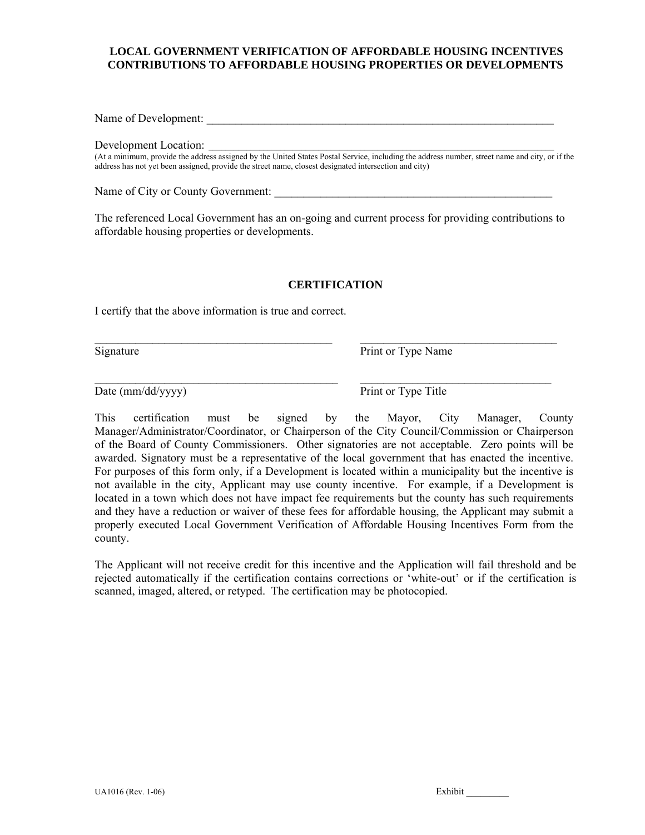## **LOCAL GOVERNMENT VERIFICATION OF AFFORDABLE HOUSING INCENTIVES CONTRIBUTIONS TO AFFORDABLE HOUSING PROPERTIES OR DEVELOPMENTS**

Name of Development: \_\_\_\_\_\_\_\_\_\_\_\_\_\_\_\_\_\_\_\_\_\_\_\_\_\_\_\_\_\_\_\_\_\_\_\_\_\_\_\_\_\_\_\_\_\_\_\_\_\_\_\_\_\_\_\_\_\_\_\_

Development Location: \_\_\_\_\_\_\_\_\_\_\_\_\_\_\_\_\_\_\_\_\_\_\_\_\_\_\_\_\_\_\_\_\_\_\_\_\_\_\_\_\_\_\_\_\_\_\_\_\_\_\_\_\_\_\_\_\_\_\_\_\_\_\_\_\_\_\_\_\_\_\_\_\_\_\_\_\_\_\_\_\_\_

(At a minimum, provide the address assigned by the United States Postal Service, including the address number, street name and city, or if the address has not yet been assigned, provide the street name, closest designated intersection and city)

Name of City or County Government: \_\_\_\_\_\_\_\_\_\_\_\_\_\_\_\_\_\_\_\_\_\_\_\_\_\_\_\_\_\_\_\_\_\_\_\_\_\_\_\_\_\_\_\_\_\_\_\_

The referenced Local Government has an on-going and current process for providing contributions to affordable housing properties or developments.

### **CERTIFICATION**

 $\_$ 

\_\_\_\_\_\_\_\_\_\_\_\_\_\_\_\_\_\_\_\_\_\_\_\_\_\_\_\_\_\_\_\_\_\_\_\_\_\_\_\_\_\_ \_\_\_\_\_\_\_\_\_\_\_\_\_\_\_\_\_\_\_\_\_\_\_\_\_\_\_\_\_\_\_\_\_

I certify that the above information is true and correct.

Signature Print or Type Name

Date (mm/dd/yyyy) Print or Type Title

This certification must be signed by the Mayor, City Manager, County Manager/Administrator/Coordinator, or Chairperson of the City Council/Commission or Chairperson of the Board of County Commissioners. Other signatories are not acceptable. Zero points will be awarded. Signatory must be a representative of the local government that has enacted the incentive. For purposes of this form only, if a Development is located within a municipality but the incentive is not available in the city, Applicant may use county incentive. For example, if a Development is located in a town which does not have impact fee requirements but the county has such requirements and they have a reduction or waiver of these fees for affordable housing, the Applicant may submit a properly executed Local Government Verification of Affordable Housing Incentives Form from the county.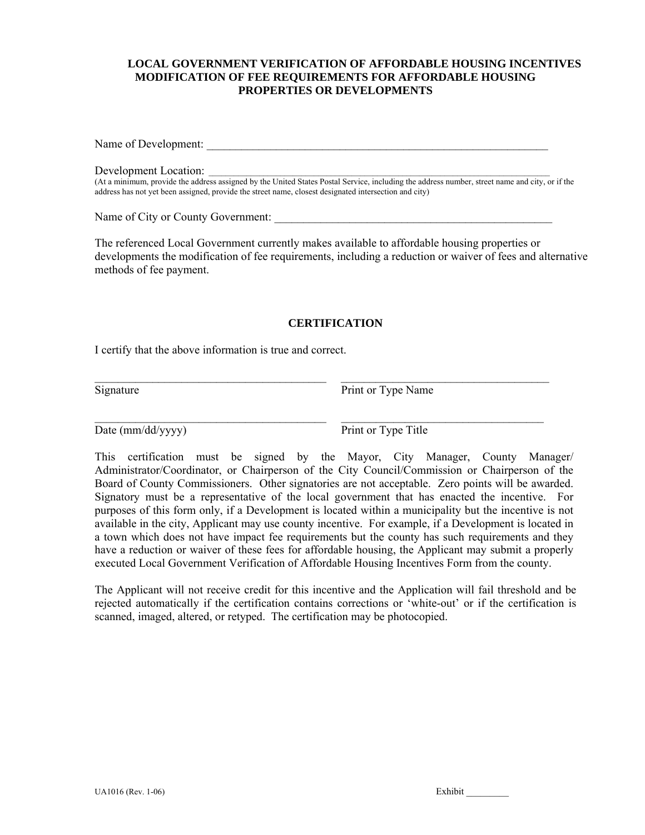## **LOCAL GOVERNMENT VERIFICATION OF AFFORDABLE HOUSING INCENTIVES MODIFICATION OF FEE REQUIREMENTS FOR AFFORDABLE HOUSING PROPERTIES OR DEVELOPMENTS**

Name of Development: \_\_\_\_\_\_\_\_\_\_\_\_\_\_\_\_\_\_\_\_\_\_\_\_\_\_\_\_\_\_\_\_\_\_\_\_\_\_\_\_\_\_\_\_\_\_\_\_\_\_\_\_\_\_\_\_\_\_\_

Development Location: \_\_\_\_\_\_\_\_\_\_\_\_\_\_\_\_\_\_\_\_\_\_\_\_\_\_\_\_\_\_\_\_\_\_\_\_\_\_\_\_\_\_\_\_\_\_\_\_\_\_\_\_\_\_\_\_\_\_\_\_\_\_\_\_\_\_\_\_\_\_\_\_\_\_\_\_\_\_\_\_\_

(At a minimum, provide the address assigned by the United States Postal Service, including the address number, street name and city, or if the address has not yet been assigned, provide the street name, closest designated intersection and city)

Name of City or County Government:

The referenced Local Government currently makes available to affordable housing properties or developments the modification of fee requirements, including a reduction or waiver of fees and alternative methods of fee payment.

### **CERTIFICATION**

 $\_$  , and the set of the set of the set of the set of the set of the set of the set of the set of the set of the set of the set of the set of the set of the set of the set of the set of the set of the set of the set of th

 $\mathcal{L}_\mathcal{L} = \{ \mathcal{L}_\mathcal{L} = \{ \mathcal{L}_\mathcal{L} = \{ \mathcal{L}_\mathcal{L} = \{ \mathcal{L}_\mathcal{L} = \{ \mathcal{L}_\mathcal{L} = \{ \mathcal{L}_\mathcal{L} = \{ \mathcal{L}_\mathcal{L} = \{ \mathcal{L}_\mathcal{L} = \{ \mathcal{L}_\mathcal{L} = \{ \mathcal{L}_\mathcal{L} = \{ \mathcal{L}_\mathcal{L} = \{ \mathcal{L}_\mathcal{L} = \{ \mathcal{L}_\mathcal{L} = \{ \mathcal{L}_\mathcal{$ 

I certify that the above information is true and correct.

Signature Print or Type Name

Date (mm/dd/yyyy) Print or Type Title

This certification must be signed by the Mayor, City Manager, County Manager/ Administrator/Coordinator, or Chairperson of the City Council/Commission or Chairperson of the Board of County Commissioners. Other signatories are not acceptable. Zero points will be awarded. Signatory must be a representative of the local government that has enacted the incentive. For purposes of this form only, if a Development is located within a municipality but the incentive is not available in the city, Applicant may use county incentive. For example, if a Development is located in a town which does not have impact fee requirements but the county has such requirements and they have a reduction or waiver of these fees for affordable housing, the Applicant may submit a properly executed Local Government Verification of Affordable Housing Incentives Form from the county.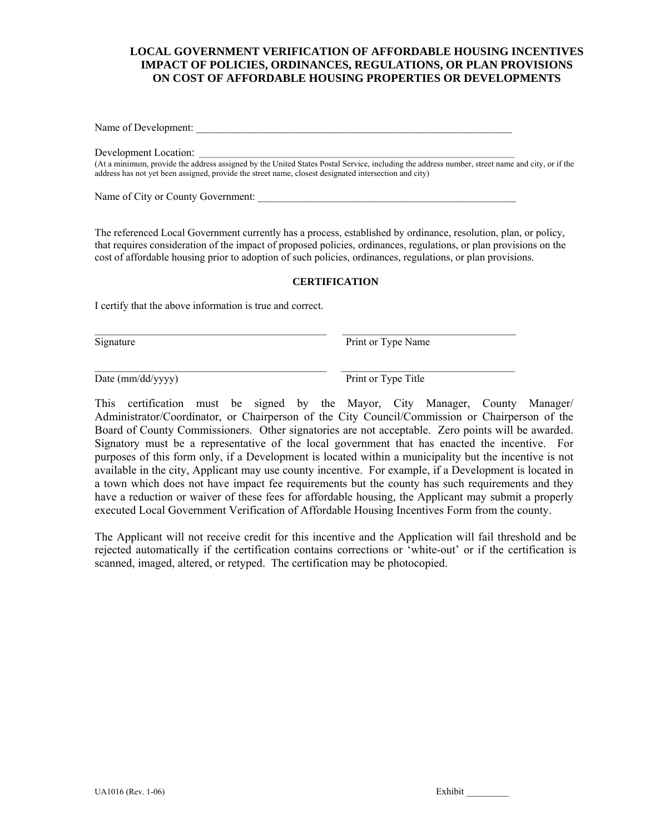## **LOCAL GOVERNMENT VERIFICATION OF AFFORDABLE HOUSING INCENTIVES IMPACT OF POLICIES, ORDINANCES, REGULATIONS, OR PLAN PROVISIONS ON COST OF AFFORDABLE HOUSING PROPERTIES OR DEVELOPMENTS**

Name of Development:

Development Location:

(At a minimum, provide the address assigned by the United States Postal Service, including the address number, street name and city, or if the address has not yet been assigned, provide the street name, closest designated intersection and city)

Name of City or County Government:

The referenced Local Government currently has a process, established by ordinance, resolution, plan, or policy, that requires consideration of the impact of proposed policies, ordinances, regulations, or plan provisions on the cost of affordable housing prior to adoption of such policies, ordinances, regulations, or plan provisions.

#### **CERTIFICATION**

I certify that the above information is true and correct.

Signature Print or Type Name

Date (mm/dd/yyyy) Print or Type Title

This certification must be signed by the Mayor, City Manager, County Manager/ Administrator/Coordinator, or Chairperson of the City Council/Commission or Chairperson of the Board of County Commissioners. Other signatories are not acceptable. Zero points will be awarded. Signatory must be a representative of the local government that has enacted the incentive. For purposes of this form only, if a Development is located within a municipality but the incentive is not available in the city, Applicant may use county incentive. For example, if a Development is located in a town which does not have impact fee requirements but the county has such requirements and they have a reduction or waiver of these fees for affordable housing, the Applicant may submit a properly executed Local Government Verification of Affordable Housing Incentives Form from the county.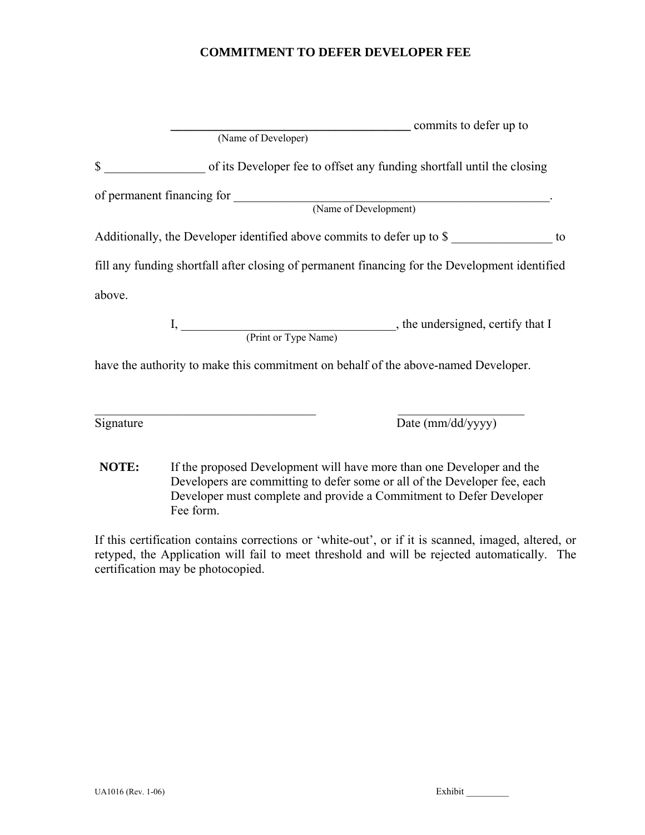# **COMMITMENT TO DEFER DEVELOPER FEE**

|              |                     | commits to defer up to                                                                         |    |
|--------------|---------------------|------------------------------------------------------------------------------------------------|----|
|              | (Name of Developer) |                                                                                                |    |
| $\mathbb{S}$ |                     | of its Developer fee to offset any funding shortfall until the closing                         |    |
|              |                     |                                                                                                |    |
|              |                     |                                                                                                |    |
|              |                     | Additionally, the Developer identified above commits to defer up to \$                         | to |
|              |                     | fill any funding shortfall after closing of permanent financing for the Development identified |    |
| above.       |                     |                                                                                                |    |
|              |                     |                                                                                                |    |
|              |                     | have the authority to make this commitment on behalf of the above-named Developer.             |    |
|              |                     |                                                                                                |    |
| Signature    |                     | Date (mm/dd/yyyy)                                                                              |    |

**NOTE:** If the proposed Development will have more than one Developer and the Developers are committing to defer some or all of the Developer fee, each Developer must complete and provide a Commitment to Defer Developer Fee form.